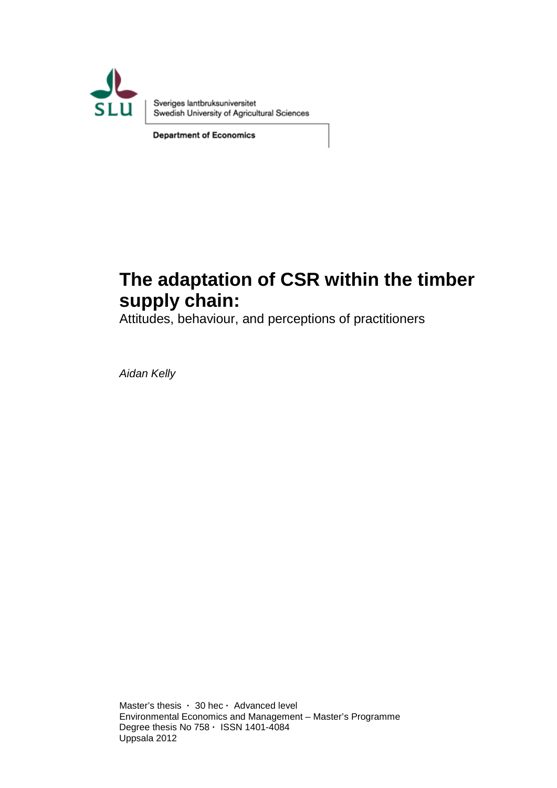

Sveriges lantbruksuniversitet Swedish University of Agricultural Sciences

**Department of Economics** 

# **The adaptation of CSR within the timber supply chain:**

Attitudes, behaviour, and perceptions of practitioners

*Aidan Kelly* 

Master's thesis **·** 30 hec **·** Advanced level Environmental Economics and Management – Master's Programme Degree thesis No 758 **·** ISSN 1401-4084 Uppsala 2012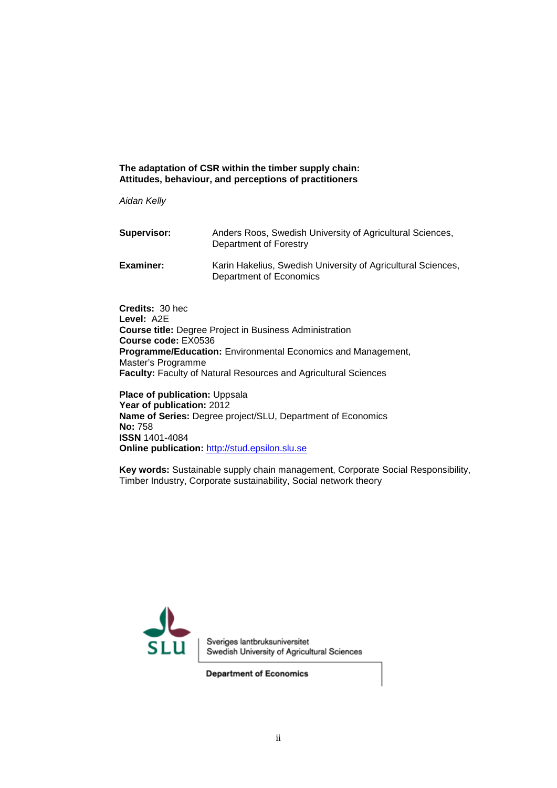#### **The adaptation of CSR within the timber supply chain: Attitudes, behaviour, and perceptions of practitioners**

*Aidan Kelly*

| Supervisor:      | Anders Roos, Swedish University of Agricultural Sciences,<br>Department of Forestry     |
|------------------|-----------------------------------------------------------------------------------------|
| <b>Examiner:</b> | Karin Hakelius, Swedish University of Agricultural Sciences,<br>Department of Economics |

**Credits:** 30 hec **Level:** A2E **Course title:** Degree Project in Business Administration **Course code:** EX0536 **Programme/Education:** Environmental Economics and Management, Master's Programme **Faculty:** Faculty of Natural Resources and Agricultural Sciences

**Place of publication: Uppsala Year of publication:** 2012 **Name of Series:** Degree project/SLU, Department of Economics **No:** 758 **ISSN** 1401-4084 **Online publication:** [http://stud.epsilon.slu.se](http://stud.epsilon.slu.se/)

**Key words:** Sustainable supply chain management, Corporate Social Responsibility, Timber Industry, Corporate sustainability, Social network theory



Sveriges lantbruksuniversitet Swedish University of Agricultural Sciences

**Department of Economics**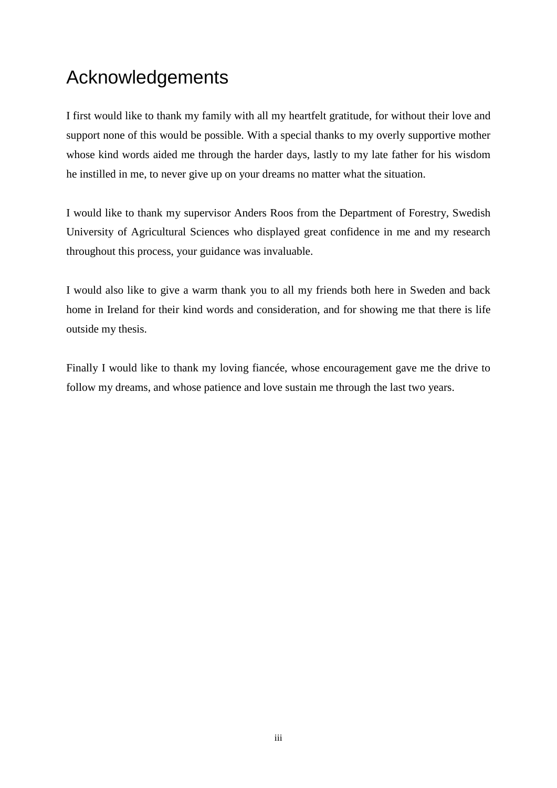# Acknowledgements

I first would like to thank my family with all my heartfelt gratitude, for without their love and support none of this would be possible. With a special thanks to my overly supportive mother whose kind words aided me through the harder days, lastly to my late father for his wisdom he instilled in me, to never give up on your dreams no matter what the situation.

I would like to thank my supervisor Anders Roos from the Department of Forestry, Swedish University of Agricultural Sciences who displayed great confidence in me and my research throughout this process, your guidance was invaluable.

I would also like to give a warm thank you to all my friends both here in Sweden and back home in Ireland for their kind words and consideration, and for showing me that there is life outside my thesis.

Finally I would like to thank my loving fiancée, whose encouragement gave me the drive to follow my dreams, and whose patience and love sustain me through the last two years.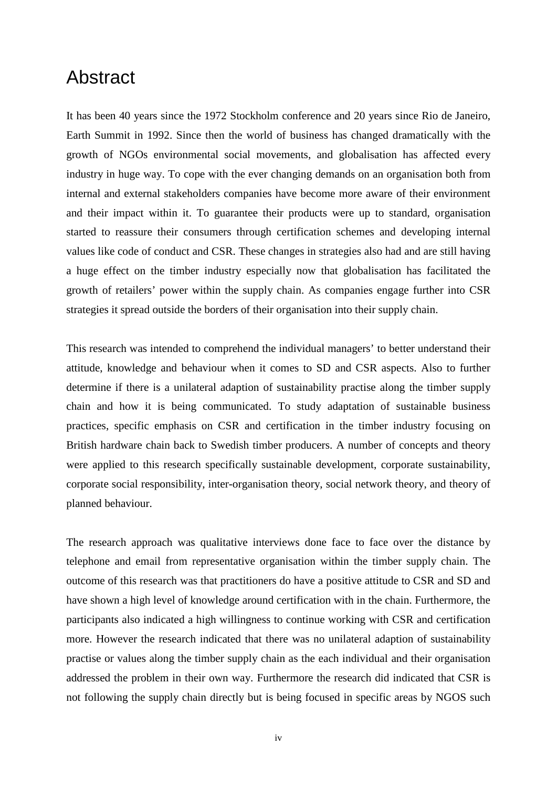## Abstract

It has been 40 years since the 1972 Stockholm conference and 20 years since Rio de Janeiro, Earth Summit in 1992. Since then the world of business has changed dramatically with the growth of NGOs environmental social movements, and globalisation has affected every industry in huge way. To cope with the ever changing demands on an organisation both from internal and external stakeholders companies have become more aware of their environment and their impact within it. To guarantee their products were up to standard, organisation started to reassure their consumers through certification schemes and developing internal values like code of conduct and CSR. These changes in strategies also had and are still having a huge effect on the timber industry especially now that globalisation has facilitated the growth of retailers' power within the supply chain. As companies engage further into CSR strategies it spread outside the borders of their organisation into their supply chain.

This research was intended to comprehend the individual managers' to better understand their attitude, knowledge and behaviour when it comes to SD and CSR aspects. Also to further determine if there is a unilateral adaption of sustainability practise along the timber supply chain and how it is being communicated. To study adaptation of sustainable business practices, specific emphasis on CSR and certification in the timber industry focusing on British hardware chain back to Swedish timber producers. A number of concepts and theory were applied to this research specifically sustainable development, corporate sustainability, corporate social responsibility, inter-organisation theory, social network theory, and theory of planned behaviour.

The research approach was qualitative interviews done face to face over the distance by telephone and email from representative organisation within the timber supply chain. The outcome of this research was that practitioners do have a positive attitude to CSR and SD and have shown a high level of knowledge around certification with in the chain. Furthermore, the participants also indicated a high willingness to continue working with CSR and certification more. However the research indicated that there was no unilateral adaption of sustainability practise or values along the timber supply chain as the each individual and their organisation addressed the problem in their own way. Furthermore the research did indicated that CSR is not following the supply chain directly but is being focused in specific areas by NGOS such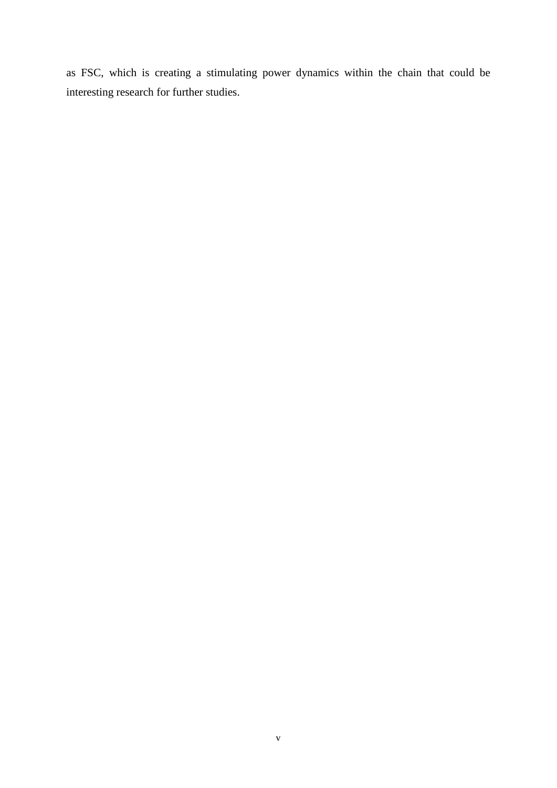as FSC, which is creating a stimulating power dynamics within the chain that could be interesting research for further studies.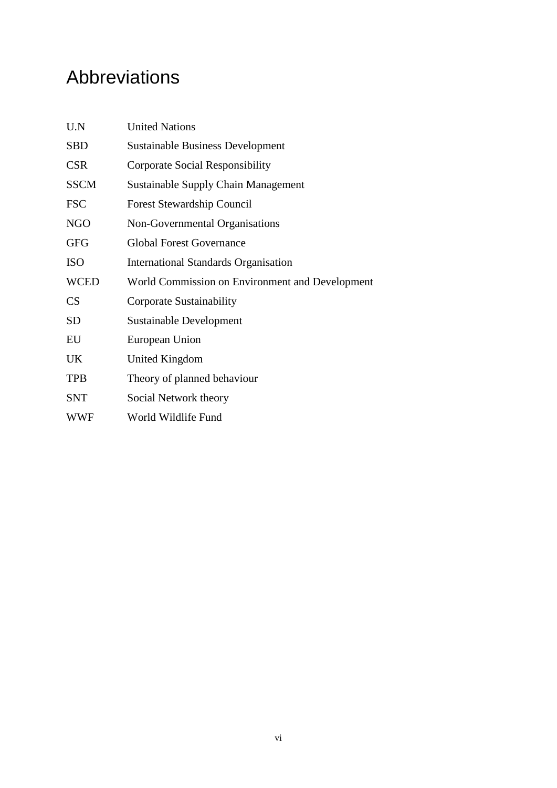# Abbreviations

| U.N         | <b>United Nations</b>                           |  |  |
|-------------|-------------------------------------------------|--|--|
| <b>SBD</b>  | <b>Sustainable Business Development</b>         |  |  |
| <b>CSR</b>  | Corporate Social Responsibility                 |  |  |
| <b>SSCM</b> | <b>Sustainable Supply Chain Management</b>      |  |  |
| <b>FSC</b>  | <b>Forest Stewardship Council</b>               |  |  |
| <b>NGO</b>  | Non-Governmental Organisations                  |  |  |
| <b>GFG</b>  | <b>Global Forest Governance</b>                 |  |  |
| <b>ISO</b>  | <b>International Standards Organisation</b>     |  |  |
| <b>WCED</b> | World Commission on Environment and Development |  |  |
| CS          | Corporate Sustainability                        |  |  |
| <b>SD</b>   | Sustainable Development                         |  |  |
| EU          | European Union                                  |  |  |
| UK          | United Kingdom                                  |  |  |
| <b>TPB</b>  | Theory of planned behaviour                     |  |  |
| <b>SNT</b>  | Social Network theory                           |  |  |
| <b>WWF</b>  | World Wildlife Fund                             |  |  |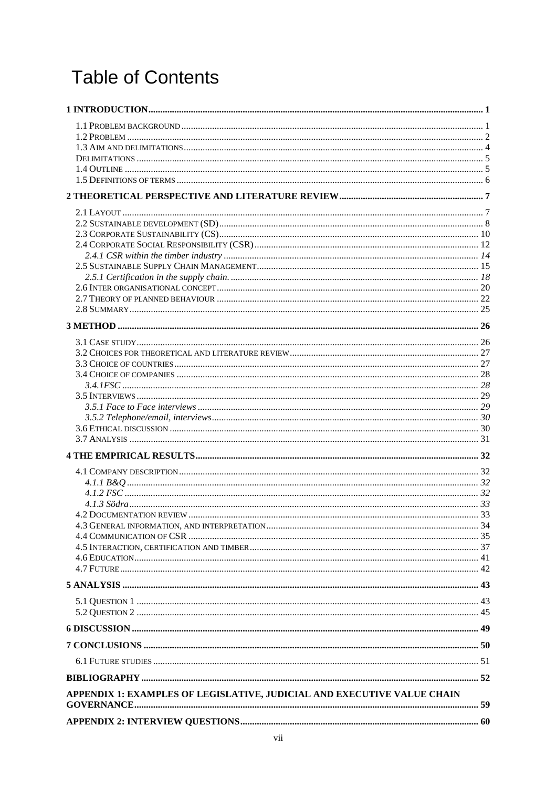# **Table of Contents**

| APPENDIX 1: EXAMPLES OF LEGISLATIVE, JUDICIAL AND EXECUTIVE VALUE CHAIN |  |
|-------------------------------------------------------------------------|--|
|                                                                         |  |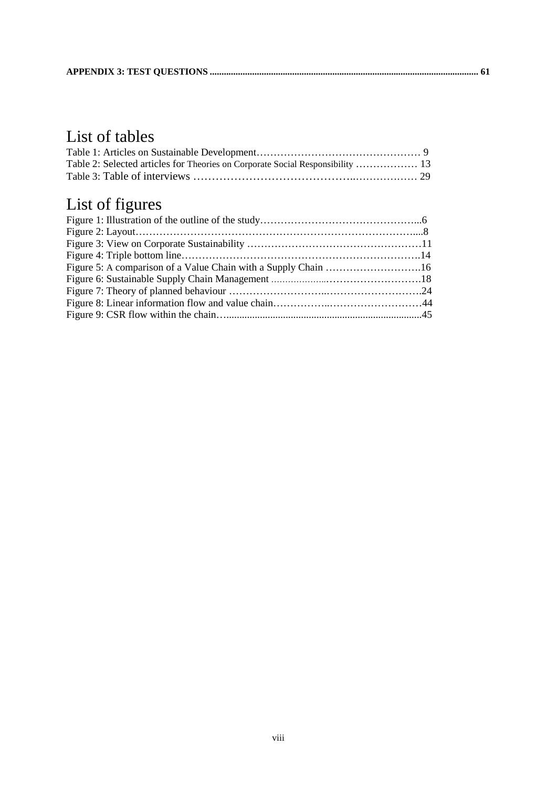## List of tables

| Table 2: Selected articles for Theories on Corporate Social Responsibility  13 |  |
|--------------------------------------------------------------------------------|--|
|                                                                                |  |

# List of figures

| Figure 5: A comparison of a Value Chain with a Supply Chain 16 |  |
|----------------------------------------------------------------|--|
|                                                                |  |
|                                                                |  |
|                                                                |  |
|                                                                |  |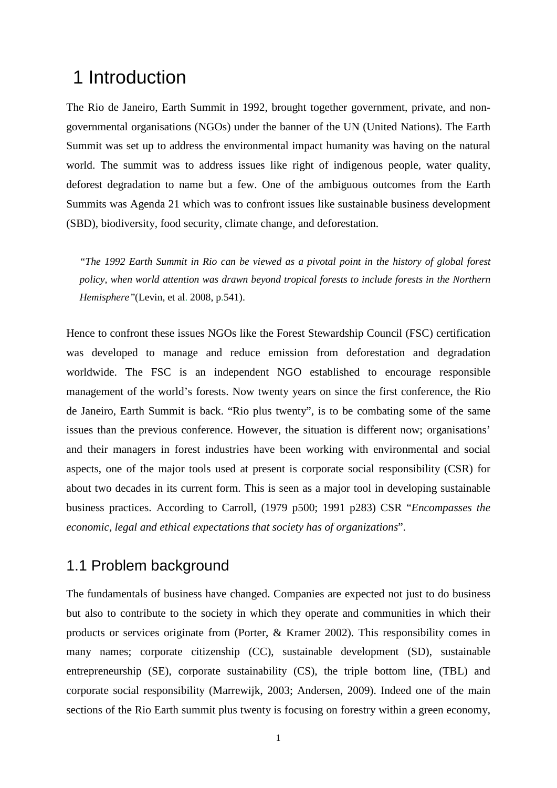## <span id="page-8-0"></span>1 Introduction

The Rio de Janeiro, Earth Summit in 1992, brought together government, private, and nongovernmental organisations (NGOs) under the banner of the UN (United Nations). The Earth Summit was set up to address the environmental impact humanity was having on the natural world. The summit was to address issues like right of indigenous people, water quality, deforest degradation to name but a few. One of the ambiguous outcomes from the Earth Summits was Agenda 21 which was to confront issues like sustainable business development (SBD), biodiversity, food security, climate change, and deforestation.

*"The 1992 Earth Summit in Rio can be viewed as a pivotal point in the history of global forest policy, when world attention was drawn beyond tropical forests to include forests in the Northern Hemisphere"*(Levin, et al. 2008, p.541).

Hence to confront these issues NGOs like the Forest Stewardship Council (FSC) certification was developed to manage and reduce emission from deforestation and degradation worldwide. The FSC is an independent NGO established to encourage responsible management of the world's forests. Now twenty years on since the first conference, the Rio de Janeiro, Earth Summit is back. "Rio plus twenty", is to be combating some of the same issues than the previous conference. However, the situation is different now; organisations' and their managers in forest industries have been working with environmental and social aspects, one of the major tools used at present is corporate social responsibility (CSR) for about two decades in its current form. This is seen as a major tool in developing sustainable business practices. According to Carroll, (1979 p500; 1991 p283) CSR "*Encompasses the economic, legal and ethical expectations that society has of organizations*".

## <span id="page-8-1"></span>1.1 Problem background

The fundamentals of business have changed. Companies are expected not just to do business but also to contribute to the society in which they operate and communities in which their products or services originate from (Porter, & Kramer 2002). This responsibility comes in many names; corporate citizenship (CC), sustainable development (SD), sustainable entrepreneurship (SE), corporate sustainability (CS), the triple bottom line, (TBL) and corporate social responsibility (Marrewijk, 2003; Andersen, 2009). Indeed one of the main sections of the Rio Earth summit plus twenty is focusing on forestry within a green economy,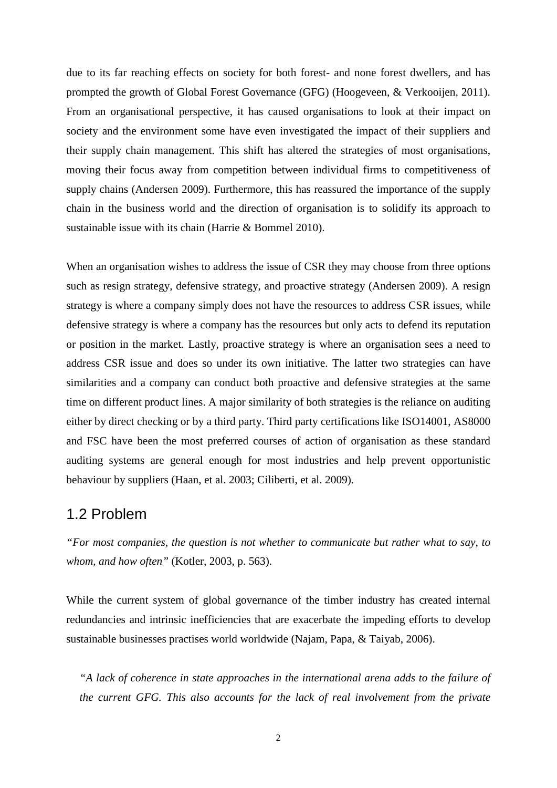due to its far reaching effects on society for both forest- and none forest dwellers, and has prompted the growth of Global Forest Governance (GFG) (Hoogeveen, & Verkooijen, 2011). From an organisational perspective, it has caused organisations to look at their impact on society and the environment some have even investigated the impact of their suppliers and their supply chain management. This shift has altered the strategies of most organisations, moving their focus away from competition between individual firms to competitiveness of supply chains (Andersen 2009). Furthermore, this has reassured the importance of the supply chain in the business world and the direction of organisation is to solidify its approach to sustainable issue with its chain (Harrie & Bommel 2010).

When an organisation wishes to address the issue of CSR they may choose from three options such as resign strategy, defensive strategy, and proactive strategy (Andersen 2009). A resign strategy is where a company simply does not have the resources to address CSR issues, while defensive strategy is where a company has the resources but only acts to defend its reputation or position in the market. Lastly, proactive strategy is where an organisation sees a need to address CSR issue and does so under its own initiative. The latter two strategies can have similarities and a company can conduct both proactive and defensive strategies at the same time on different product lines. A major similarity of both strategies is the reliance on auditing either by direct checking or by a third party. Third party certifications like ISO14001, AS8000 and FSC have been the most preferred courses of action of organisation as these standard auditing systems are general enough for most industries and help prevent opportunistic behaviour by suppliers (Haan, et al. 2003; Ciliberti, et al. 2009).

## <span id="page-9-0"></span>1.2 Problem

*"For most companies, the question is not whether to communicate but rather what to say, to whom, and how often"* (Kotler, 2003, p. 563).

While the current system of global governance of the timber industry has created internal redundancies and intrinsic inefficiencies that are exacerbate the impeding efforts to develop sustainable businesses practises world worldwide (Najam, Papa, & Taiyab, 2006).

*"A lack of coherence in state approaches in the international arena adds to the failure of the current GFG. This also accounts for the lack of real involvement from the private*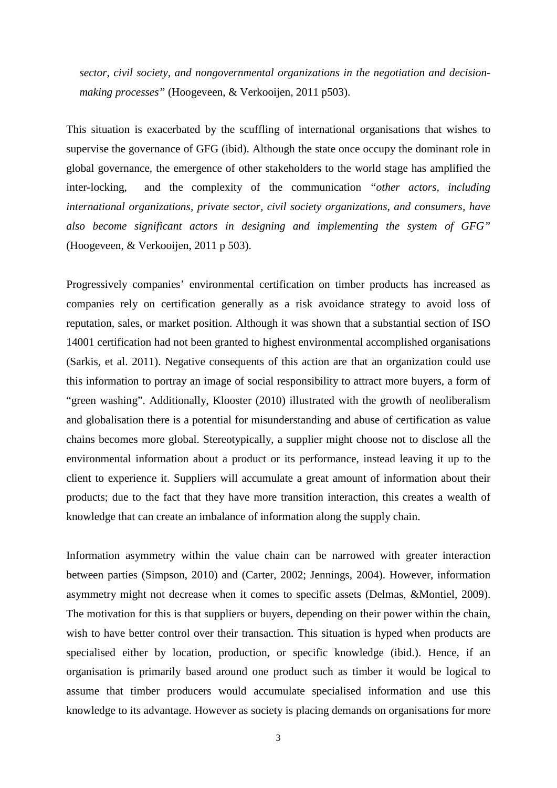*sector, civil society, and nongovernmental organizations in the negotiation and decisionmaking processes"* (Hoogeveen, & Verkooijen, 2011 p503).

This situation is exacerbated by the scuffling of international organisations that wishes to supervise the governance of GFG (ibid). Although the state once occupy the dominant role in global governance, the emergence of other stakeholders to the world stage has amplified the inter-locking, and the complexity of the communication *"other actors, including international organizations, private sector, civil society organizations, and consumers, have also become significant actors in designing and implementing the system of GFG"* (Hoogeveen, & Verkooijen, 2011 p 503).

Progressively companies' environmental certification on timber products has increased as companies rely on certification generally as a risk avoidance strategy to avoid loss of reputation, sales, or market position. Although it was shown that a substantial section of ISO 14001 certification had not been granted to highest environmental accomplished organisations (Sarkis, et al. 2011). Negative consequents of this action are that an organization could use this information to portray an image of social responsibility to attract more buyers, a form of "green washing". Additionally, Klooster (2010) illustrated with the growth of neoliberalism and globalisation there is a potential for misunderstanding and abuse of certification as value chains becomes more global. Stereotypically, a supplier might choose not to disclose all the environmental information about a product or its performance, instead leaving it up to the client to experience it. Suppliers will accumulate a great amount of information about their products; due to the fact that they have more transition interaction, this creates a wealth of knowledge that can create an imbalance of information along the supply chain.

Information asymmetry within the value chain can be narrowed with greater interaction between parties (Simpson, 2010) and (Carter, 2002; Jennings, 2004). However, information asymmetry might not decrease when it comes to specific assets (Delmas, &Montiel, 2009). The motivation for this is that suppliers or buyers, depending on their power within the chain, wish to have better control over their transaction. This situation is hyped when products are specialised either by location, production, or specific knowledge (ibid.). Hence, if an organisation is primarily based around one product such as timber it would be logical to assume that timber producers would accumulate specialised information and use this knowledge to its advantage. However as society is placing demands on organisations for more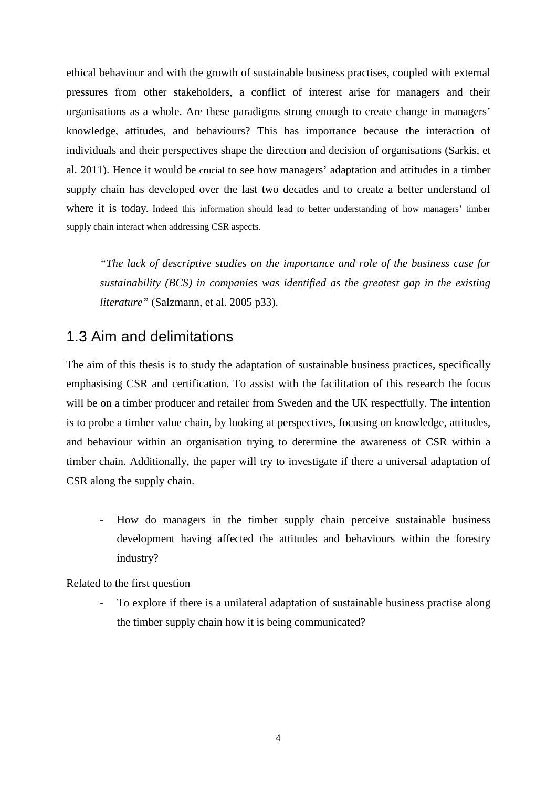ethical behaviour and with the growth of sustainable business practises, coupled with external pressures from other stakeholders, a conflict of interest arise for managers and their organisations as a whole. Are these paradigms strong enough to create change in managers' knowledge, attitudes, and behaviours? This has importance because the interaction of individuals and their perspectives shape the direction and decision of organisations (Sarkis, et al. 2011). Hence it would be crucial to see how managers' adaptation and attitudes in a timber supply chain has developed over the last two decades and to create a better understand of where it is today. Indeed this information should lead to better understanding of how managers' timber supply chain interact when addressing CSR aspects.

*"The lack of descriptive studies on the importance and role of the business case for sustainability (BCS) in companies was identified as the greatest gap in the existing literature"* (Salzmann, et al. 2005 p33).

## <span id="page-11-0"></span>1.3 Aim and delimitations

The aim of this thesis is to study the adaptation of sustainable business practices, specifically emphasising CSR and certification. To assist with the facilitation of this research the focus will be on a timber producer and retailer from Sweden and the UK respectfully. The intention is to probe a timber value chain, by looking at perspectives, focusing on knowledge, attitudes, and behaviour within an organisation trying to determine the awareness of CSR within a timber chain. Additionally, the paper will try to investigate if there a universal adaptation of CSR along the supply chain.

- How do managers in the timber supply chain perceive sustainable business development having affected the attitudes and behaviours within the forestry industry?

Related to the first question

To explore if there is a unilateral adaptation of sustainable business practise along the timber supply chain how it is being communicated?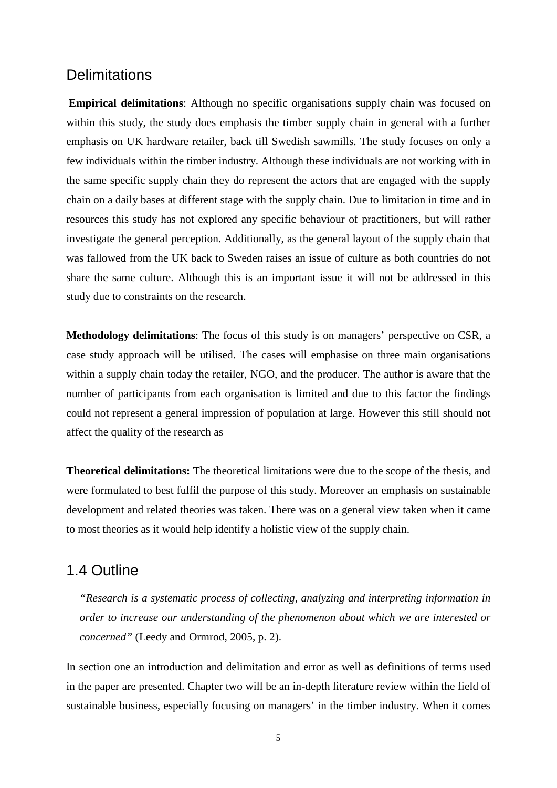## <span id="page-12-0"></span>**Delimitations**

**Empirical delimitations**: Although no specific organisations supply chain was focused on within this study, the study does emphasis the timber supply chain in general with a further emphasis on UK hardware retailer, back till Swedish sawmills. The study focuses on only a few individuals within the timber industry. Although these individuals are not working with in the same specific supply chain they do represent the actors that are engaged with the supply chain on a daily bases at different stage with the supply chain. Due to limitation in time and in resources this study has not explored any specific behaviour of practitioners, but will rather investigate the general perception. Additionally, as the general layout of the supply chain that was fallowed from the UK back to Sweden raises an issue of culture as both countries do not share the same culture. Although this is an important issue it will not be addressed in this study due to constraints on the research.

**Methodology delimitations**: The focus of this study is on managers' perspective on CSR, a case study approach will be utilised. The cases will emphasise on three main organisations within a supply chain today the retailer, NGO, and the producer. The author is aware that the number of participants from each organisation is limited and due to this factor the findings could not represent a general impression of population at large. However this still should not affect the quality of the research as

**Theoretical delimitations:** The theoretical limitations were due to the scope of the thesis, and were formulated to best fulfil the purpose of this study. Moreover an emphasis on sustainable development and related theories was taken. There was on a general view taken when it came to most theories as it would help identify a holistic view of the supply chain.

### <span id="page-12-1"></span>1.4 Outline

*"Research is a systematic process of collecting, analyzing and interpreting information in order to increase our understanding of the phenomenon about which we are interested or concerned"* (Leedy and Ormrod, 2005, p. 2).

In section one an introduction and delimitation and error as well as definitions of terms used in the paper are presented. Chapter two will be an in-depth literature review within the field of sustainable business, especially focusing on managers' in the timber industry. When it comes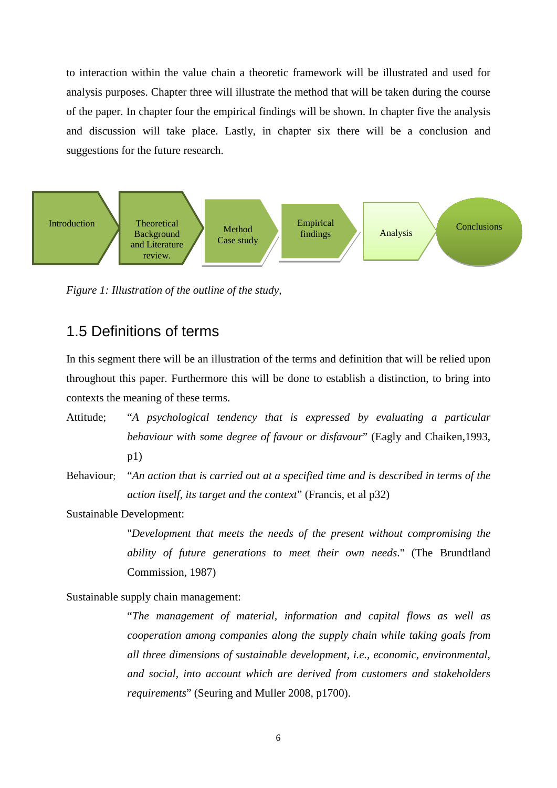to interaction within the value chain a theoretic framework will be illustrated and used for analysis purposes. Chapter three will illustrate the method that will be taken during the course of the paper. In chapter four the empirical findings will be shown. In chapter five the analysis and discussion will take place. Lastly, in chapter six there will be a conclusion and suggestions for the future research.



*Figure 1: Illustration of the outline of the study,*

## <span id="page-13-0"></span>1.5 Definitions of terms

In this segment there will be an illustration of the terms and definition that will be relied upon throughout this paper. Furthermore this will be done to establish a distinction, to bring into contexts the meaning of these terms.

- Attitude; "*A psychological tendency that is expressed by evaluating a particular behaviour with some degree of favour or disfavour*" (Eagly and Chaiken,1993, p1)
- Behaviour; "*An action that is carried out at a specified time and is described in terms of the action itself, its target and the context*" (Francis, et al p32)

Sustainable Development:

"*Development that meets the needs of the present without compromising the ability of future generations to meet their own needs*." (The Brundtland Commission, 1987)

Sustainable supply chain management:

"*The management of material, information and capital flows as well as cooperation among companies along the supply chain while taking goals from all three dimensions of sustainable development, i.e., economic, environmental, and social, into account which are derived from customers and stakeholders requirements*" (Seuring and Muller 2008, p1700).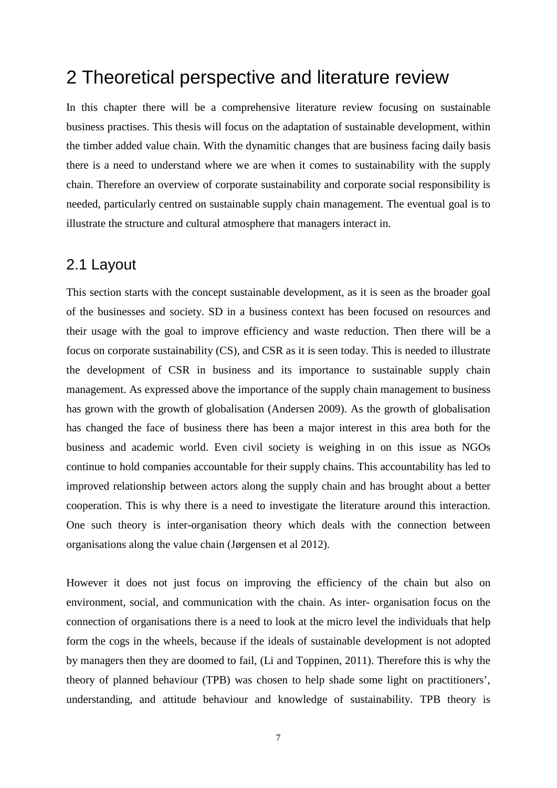## <span id="page-14-0"></span>2 Theoretical perspective and literature review

In this chapter there will be a comprehensive literature review focusing on sustainable business practises. This thesis will focus on the adaptation of sustainable development, within the timber added value chain. With the dynamitic changes that are business facing daily basis there is a need to understand where we are when it comes to sustainability with the supply chain. Therefore an overview of corporate sustainability and corporate social responsibility is needed, particularly centred on sustainable supply chain management. The eventual goal is to illustrate the structure and cultural atmosphere that managers interact in.

## <span id="page-14-1"></span>2.1 Layout

This section starts with the concept sustainable development, as it is seen as the broader goal of the businesses and society. SD in a business context has been focused on resources and their usage with the goal to improve efficiency and waste reduction. Then there will be a focus on corporate sustainability (CS), and CSR as it is seen today. This is needed to illustrate the development of CSR in business and its importance to sustainable supply chain management. As expressed above the importance of the supply chain management to business has grown with the growth of globalisation (Andersen 2009). As the growth of globalisation has changed the face of business there has been a major interest in this area both for the business and academic world. Even civil society is weighing in on this issue as NGOs continue to hold companies accountable for their supply chains. This accountability has led to improved relationship between actors along the supply chain and has brought about a better cooperation. This is why there is a need to investigate the literature around this interaction. One such theory is inter-organisation theory which deals with the connection between organisations along the value chain (Jørgensen et al 2012).

However it does not just focus on improving the efficiency of the chain but also on environment, social, and communication with the chain. As inter- organisation focus on the connection of organisations there is a need to look at the micro level the individuals that help form the cogs in the wheels, because if the ideals of sustainable development is not adopted by managers then they are doomed to fail, (Li and Toppinen, 2011). Therefore this is why the theory of planned behaviour (TPB) was chosen to help shade some light on practitioners', understanding, and attitude behaviour and knowledge of sustainability. TPB theory is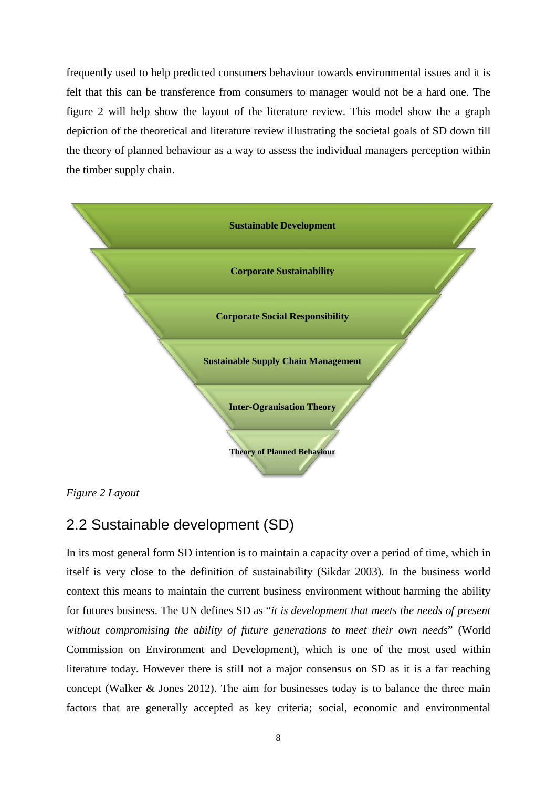frequently used to help predicted consumers behaviour towards environmental issues and it is felt that this can be transference from consumers to manager would not be a hard one. The figure 2 will help show the layout of the literature review. This model show the a graph depiction of the theoretical and literature review illustrating the societal goals of SD down till the theory of planned behaviour as a way to assess the individual managers perception within the timber supply chain.



*Figure 2 Layout*

## <span id="page-15-0"></span>2.2 Sustainable development (SD)

In its most general form SD intention is to maintain a capacity over a period of time, which in itself is very close to the definition of sustainability (Sikdar 2003). In the business world context this means to maintain the current business environment without harming the ability for futures business. The UN defines SD as "*it is development that meets the needs of present without compromising the ability of future generations to meet their own needs*" (World Commission on Environment and Development), which is one of the most used within literature today. However there is still not a major consensus on SD as it is a far reaching concept (Walker & Jones 2012). The aim for businesses today is to balance the three main factors that are generally accepted as key criteria; social, economic and environmental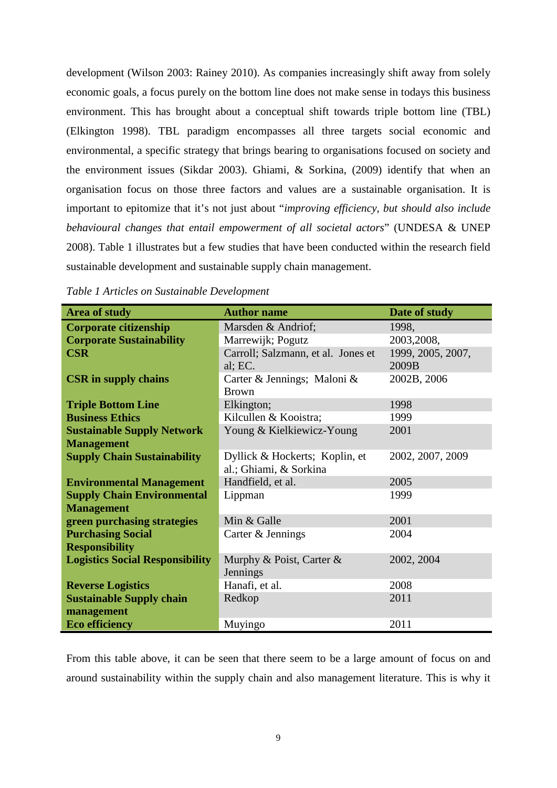development (Wilson 2003: Rainey 2010). As companies increasingly shift away from solely economic goals, a focus purely on the bottom line does not make sense in todays this business environment. This has brought about a conceptual shift towards triple bottom line (TBL) (Elkington 1998). TBL paradigm encompasses all three targets social economic and environmental, a specific strategy that brings bearing to organisations focused on society and the environment issues (Sikdar 2003). Ghiami, & Sorkina, (2009) identify that when an organisation focus on those three factors and values are a sustainable organisation. It is important to epitomize that it's not just about "*improving efficiency, but should also include behavioural changes that entail empowerment of all societal actors*" (UNDESA & UNEP 2008). Table 1 illustrates but a few studies that have been conducted within the research field sustainable development and sustainable supply chain management.

| <b>Area of study</b>                   | <b>Author name</b>                 | Date of study     |
|----------------------------------------|------------------------------------|-------------------|
| <b>Corporate citizenship</b>           | Marsden & Andriof;                 | 1998,             |
| <b>Corporate Sustainability</b>        | Marrewijk; Pogutz                  | 2003, 2008,       |
| <b>CSR</b>                             | Carroll; Salzmann, et al. Jones et | 1999, 2005, 2007, |
|                                        | al; EC.                            | 2009B             |
| <b>CSR</b> in supply chains            | Carter & Jennings; Maloni &        | 2002B, 2006       |
|                                        | <b>Brown</b>                       |                   |
| <b>Triple Bottom Line</b>              | Elkington;                         | 1998              |
| <b>Business Ethics</b>                 | Kilcullen & Kooistra;              | 1999              |
| <b>Sustainable Supply Network</b>      | Young & Kielkiewicz-Young          | 2001              |
| <b>Management</b>                      |                                    |                   |
| <b>Supply Chain Sustainability</b>     | Dyllick & Hockerts; Koplin, et     | 2002, 2007, 2009  |
|                                        | al.; Ghiami, & Sorkina             |                   |
| <b>Environmental Management</b>        | Handfield, et al.                  | 2005              |
| <b>Supply Chain Environmental</b>      | Lippman                            | 1999              |
| <b>Management</b>                      |                                    |                   |
| green purchasing strategies            | Min & Galle                        | 2001              |
| <b>Purchasing Social</b>               | Carter & Jennings                  | 2004              |
| <b>Responsibility</b>                  |                                    |                   |
| <b>Logistics Social Responsibility</b> | Murphy & Poist, Carter &           | 2002, 2004        |
|                                        | Jennings                           |                   |
| <b>Reverse Logistics</b>               | Hanafi, et al.                     | 2008              |
| <b>Sustainable Supply chain</b>        | Redkop                             | 2011              |
| management                             |                                    |                   |
| <b>Eco efficiency</b>                  | Muyingo                            | 2011              |

*Table 1 Articles on Sustainable Development*

From this table above, it can be seen that there seem to be a large amount of focus on and around sustainability within the supply chain and also management literature. This is why it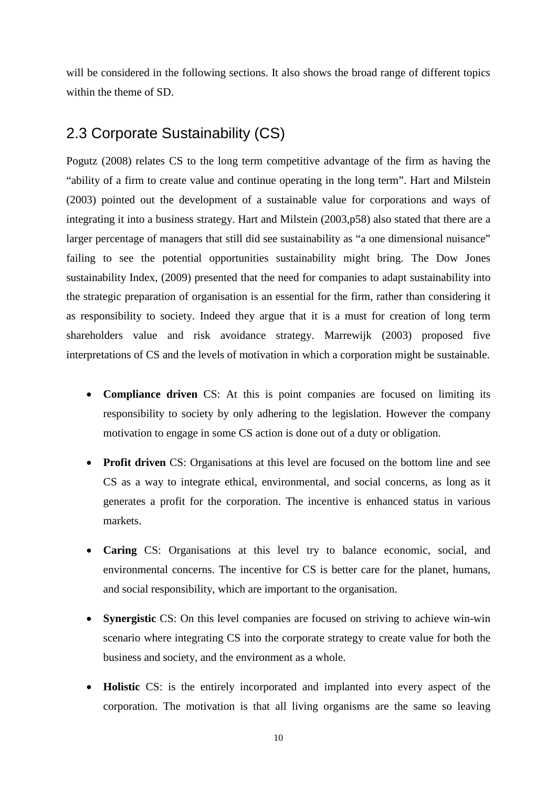will be considered in the following sections. It also shows the broad range of different topics within the theme of SD.

## <span id="page-17-0"></span>2.3 Corporate Sustainability (CS)

Pogutz (2008) relates CS to the long term competitive advantage of the firm as having the "ability of a firm to create value and continue operating in the long term". Hart and Milstein (2003) pointed out the development of a sustainable value for corporations and ways of integrating it into a business strategy. Hart and Milstein (2003,p58) also stated that there are a larger percentage of managers that still did see sustainability as "a one dimensional nuisance" failing to see the potential opportunities sustainability might bring. The Dow Jones sustainability Index, (2009) presented that the need for companies to adapt sustainability into the strategic preparation of organisation is an essential for the firm, rather than considering it as responsibility to society. Indeed they argue that it is a must for creation of long term shareholders value and risk avoidance strategy. Marrewijk (2003) proposed five interpretations of CS and the levels of motivation in which a corporation might be sustainable.

- **Compliance driven** CS: At this is point companies are focused on limiting its responsibility to society by only adhering to the legislation. However the company motivation to engage in some CS action is done out of a duty or obligation.
- **Profit driven** CS: Organisations at this level are focused on the bottom line and see CS as a way to integrate ethical, environmental, and social concerns, as long as it generates a profit for the corporation. The incentive is enhanced status in various markets.
- **Caring** CS: Organisations at this level try to balance economic, social, and environmental concerns. The incentive for CS is better care for the planet, humans, and social responsibility, which are important to the organisation.
- **Synergistic** CS: On this level companies are focused on striving to achieve win-win scenario where integrating CS into the corporate strategy to create value for both the business and society, and the environment as a whole.
- **Holistic** CS: is the entirely incorporated and implanted into every aspect of the corporation. The motivation is that all living organisms are the same so leaving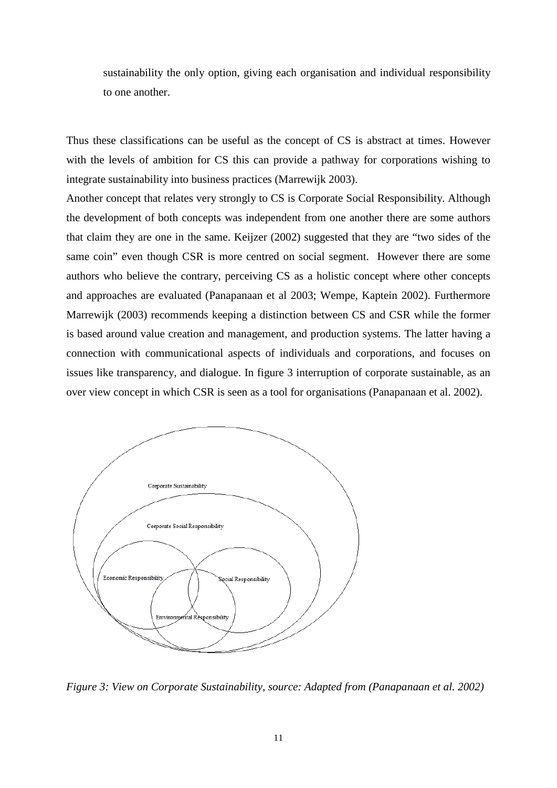sustainability the only option, giving each organisation and individual responsibility to one another.

Thus these classifications can be useful as the concept of CS is abstract at times. However with the levels of ambition for CS this can provide a pathway for corporations wishing to integrate sustainability into business practices (Marrewijk 2003).

Another concept that relates very strongly to CS is Corporate Social Responsibility. Although the development of both concepts was independent from one another there are some authors that claim they are one in the same. Keijzer (2002) suggested that they are "two sides of the same coin" even though CSR is more centred on social segment. However there are some authors who believe the contrary, perceiving CS as a holistic concept where other concepts and approaches are evaluated (Panapanaan et al 2003; Wempe, Kaptein 2002). Furthermore Marrewijk (2003) recommends keeping a distinction between CS and CSR while the former is based around value creation and management, and production systems. The latter having a connection with communicational aspects of individuals and corporations, and focuses on issues like transparency, and dialogue. In figure 3 interruption of corporate sustainable, as an over view concept in which CSR is seen as a tool for organisations (Panapanaan et al. 2002).



*Figure 3: View on Corporate Sustainability, source: Adapted from (Panapanaan et al. 2002)*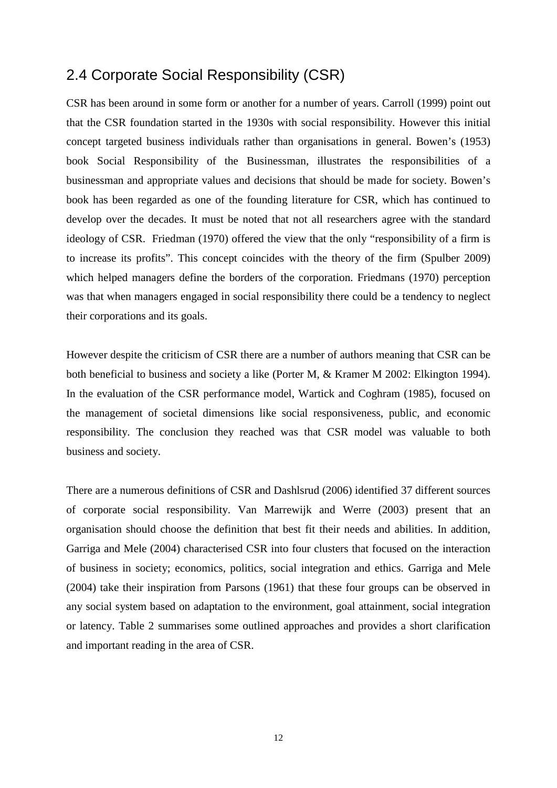## <span id="page-19-0"></span>2.4 Corporate Social Responsibility (CSR)

CSR has been around in some form or another for a number of years. Carroll (1999) point out that the CSR foundation started in the 1930s with social responsibility. However this initial concept targeted business individuals rather than organisations in general. Bowen's (1953) book Social Responsibility of the Businessman, illustrates the responsibilities of a businessman and appropriate values and decisions that should be made for society. Bowen's book has been regarded as one of the founding literature for CSR, which has continued to develop over the decades. It must be noted that not all researchers agree with the standard ideology of CSR. Friedman (1970) offered the view that the only "responsibility of a firm is to increase its profits". This concept coincides with the theory of the firm (Spulber 2009) which helped managers define the borders of the corporation. Friedmans (1970) perception was that when managers engaged in social responsibility there could be a tendency to neglect their corporations and its goals.

However despite the criticism of CSR there are a number of authors meaning that CSR can be both beneficial to business and society a like (Porter M, & Kramer M 2002: Elkington 1994). In the evaluation of the CSR performance model, Wartick and Coghram (1985), focused on the management of societal dimensions like social responsiveness, public, and economic responsibility. The conclusion they reached was that CSR model was valuable to both business and society.

There are a numerous definitions of CSR and Dashlsrud (2006) identified 37 different sources of corporate social responsibility. Van Marrewijk and Werre (2003) present that an organisation should choose the definition that best fit their needs and abilities. In addition, Garriga and Mele (2004) characterised CSR into four clusters that focused on the interaction of business in society; economics, politics, social integration and ethics. Garriga and Mele (2004) take their inspiration from Parsons (1961) that these four groups can be observed in any social system based on adaptation to the environment, goal attainment, social integration or latency. Table 2 summarises some outlined approaches and provides a short clarification and important reading in the area of CSR.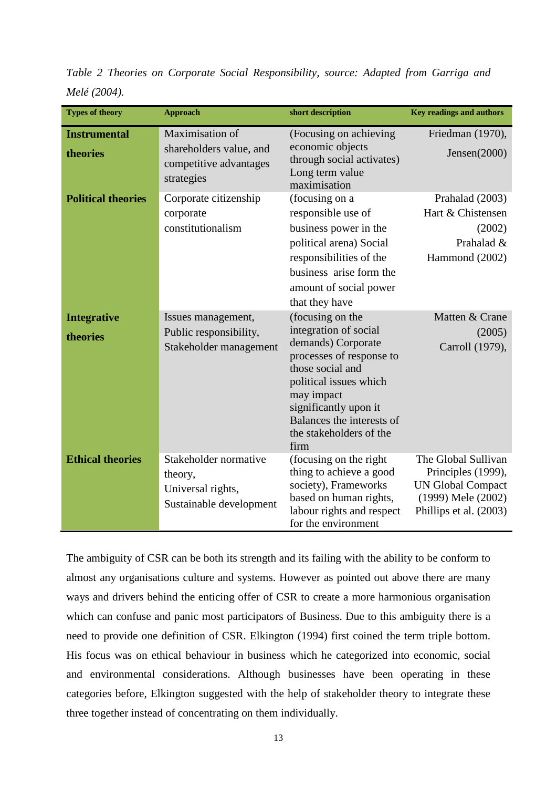| <b>Types of theory</b>          | <b>Approach</b>                                                                    | short description                                                                                                                                                                                                                                | <b>Key readings and authors</b>                                                                                       |
|---------------------------------|------------------------------------------------------------------------------------|--------------------------------------------------------------------------------------------------------------------------------------------------------------------------------------------------------------------------------------------------|-----------------------------------------------------------------------------------------------------------------------|
| <b>Instrumental</b><br>theories | Maximisation of<br>shareholders value, and<br>competitive advantages<br>strategies | (Focusing on achieving)<br>economic objects<br>through social activates)<br>Long term value<br>maximisation                                                                                                                                      | Friedman (1970),<br>Jensen(2000)                                                                                      |
| <b>Political theories</b>       | Corporate citizenship<br>corporate<br>constitutionalism                            | (focusing on a<br>responsible use of<br>business power in the<br>political arena) Social<br>responsibilities of the<br>business arise form the<br>amount of social power<br>that they have                                                       | Prahalad (2003)<br>Hart & Chistensen<br>(2002)<br>Prahalad &<br>Hammond (2002)                                        |
| <b>Integrative</b><br>theories  | Issues management,<br>Public responsibility,<br>Stakeholder management             | (focusing on the<br>integration of social<br>demands) Corporate<br>processes of response to<br>those social and<br>political issues which<br>may impact<br>significantly upon it<br>Balances the interests of<br>the stakeholders of the<br>firm | Matten & Crane<br>(2005)<br>Carroll (1979),                                                                           |
| <b>Ethical theories</b>         | Stakeholder normative<br>theory,<br>Universal rights,<br>Sustainable development   | (focusing on the right)<br>thing to achieve a good<br>society), Frameworks<br>based on human rights,<br>labour rights and respect<br>for the environment                                                                                         | The Global Sullivan<br>Principles (1999),<br><b>UN Global Compact</b><br>(1999) Mele (2002)<br>Phillips et al. (2003) |

*Table 2 Theories on Corporate Social Responsibility, source: Adapted from Garriga and Melé (2004).*

The ambiguity of CSR can be both its strength and its failing with the ability to be conform to almost any organisations culture and systems. However as pointed out above there are many ways and drivers behind the enticing offer of CSR to create a more harmonious organisation which can confuse and panic most participators of Business. Due to this ambiguity there is a need to provide one definition of CSR. Elkington (1994) first coined the term triple bottom. His focus was on ethical behaviour in business which he categorized into economic, social and environmental considerations. Although businesses have been operating in these categories before, Elkington suggested with the help of stakeholder theory to integrate these three together instead of concentrating on them individually.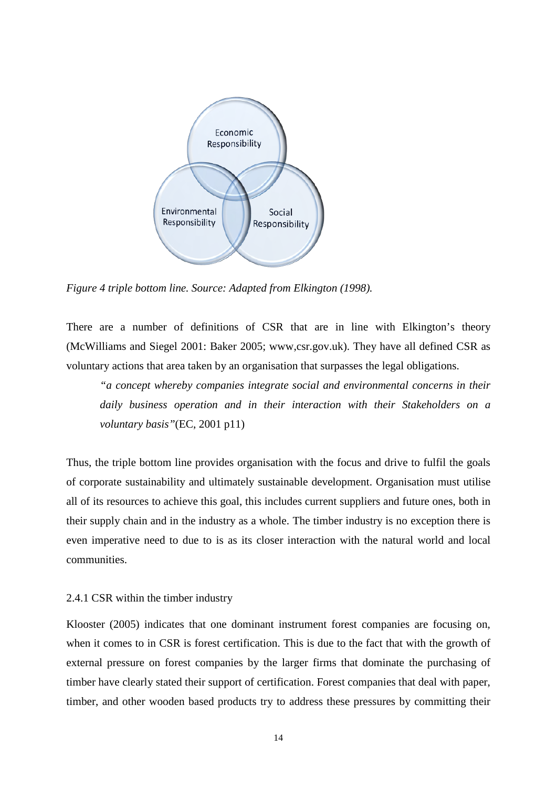

*Figure 4 triple bottom line. Source: Adapted from Elkington (1998).*

There are a number of definitions of CSR that are in line with Elkington's theory (McWilliams and Siegel 2001: Baker 2005; www,csr.gov.uk). They have all defined CSR as voluntary actions that area taken by an organisation that surpasses the legal obligations.

*"a concept whereby companies integrate social and environmental concerns in their daily business operation and in their interaction with their Stakeholders on a voluntary basis"*(EC, 2001 p11)

Thus, the triple bottom line provides organisation with the focus and drive to fulfil the goals of corporate sustainability and ultimately sustainable development. Organisation must utilise all of its resources to achieve this goal, this includes current suppliers and future ones, both in their supply chain and in the industry as a whole. The timber industry is no exception there is even imperative need to due to is as its closer interaction with the natural world and local communities.

#### <span id="page-21-0"></span>2.4.1 CSR within the timber industry

Klooster (2005) indicates that one dominant instrument forest companies are focusing on, when it comes to in CSR is forest certification. This is due to the fact that with the growth of external pressure on forest companies by the larger firms that dominate the purchasing of timber have clearly stated their support of certification. Forest companies that deal with paper, timber, and other wooden based products try to address these pressures by committing their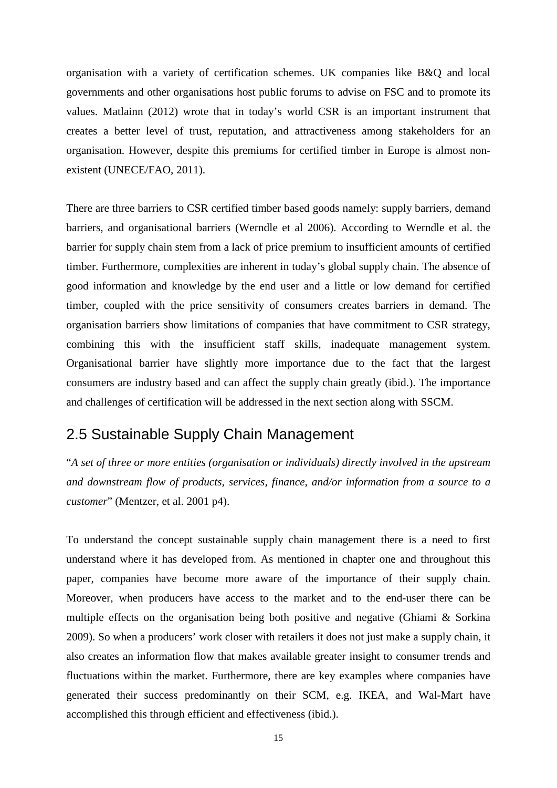organisation with a variety of certification schemes. UK companies like B&Q and local governments and other organisations host public forums to advise on FSC and to promote its values. Matlainn (2012) wrote that in today's world CSR is an important instrument that creates a better level of trust, reputation, and attractiveness among stakeholders for an organisation. However, despite this premiums for certified timber in Europe is almost nonexistent (UNECE/FAO, 2011).

There are three barriers to CSR certified timber based goods namely: supply barriers, demand barriers, and organisational barriers (Werndle et al 2006). According to Werndle et al. the barrier for supply chain stem from a lack of price premium to insufficient amounts of certified timber. Furthermore, complexities are inherent in today's global supply chain. The absence of good information and knowledge by the end user and a little or low demand for certified timber, coupled with the price sensitivity of consumers creates barriers in demand. The organisation barriers show limitations of companies that have commitment to CSR strategy, combining this with the insufficient staff skills, inadequate management system. Organisational barrier have slightly more importance due to the fact that the largest consumers are industry based and can affect the supply chain greatly (ibid.). The importance and challenges of certification will be addressed in the next section along with SSCM.

## <span id="page-22-0"></span>2.5 Sustainable Supply Chain Management

"*A set of three or more entities (organisation or individuals) directly involved in the upstream and downstream flow of products, services, finance, and/or information from a source to a customer*" (Mentzer, et al. 2001 p4).

To understand the concept sustainable supply chain management there is a need to first understand where it has developed from. As mentioned in chapter one and throughout this paper, companies have become more aware of the importance of their supply chain. Moreover, when producers have access to the market and to the end-user there can be multiple effects on the organisation being both positive and negative (Ghiami & Sorkina 2009). So when a producers' work closer with retailers it does not just make a supply chain, it also creates an information flow that makes available greater insight to consumer trends and fluctuations within the market. Furthermore, there are key examples where companies have generated their success predominantly on their SCM, e.g. IKEA, and Wal-Mart have accomplished this through efficient and effectiveness (ibid.).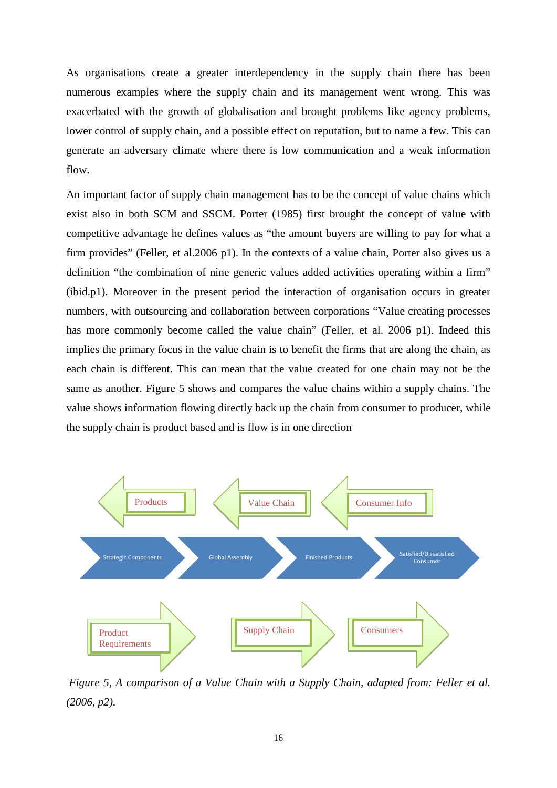As organisations create a greater interdependency in the supply chain there has been numerous examples where the supply chain and its management went wrong. This was exacerbated with the growth of globalisation and brought problems like agency problems, lower control of supply chain, and a possible effect on reputation, but to name a few. This can generate an adversary climate where there is low communication and a weak information flow.

An important factor of supply chain management has to be the concept of value chains which exist also in both SCM and SSCM. Porter (1985) first brought the concept of value with competitive advantage he defines values as "the amount buyers are willing to pay for what a firm provides" (Feller, et al.2006 p1). In the contexts of a value chain, Porter also gives us a definition "the combination of nine generic values added activities operating within a firm" (ibid.p1). Moreover in the present period the interaction of organisation occurs in greater numbers, with outsourcing and collaboration between corporations "Value creating processes has more commonly become called the value chain" (Feller, et al. 2006 p1). Indeed this implies the primary focus in the value chain is to benefit the firms that are along the chain, as each chain is different. This can mean that the value created for one chain may not be the same as another. Figure 5 shows and compares the value chains within a supply chains. The value shows information flowing directly back up the chain from consumer to producer, while the supply chain is product based and is flow is in one direction



*Figure 5, A comparison of a Value Chain with a Supply Chain, adapted from: Feller et al. (2006, p2).*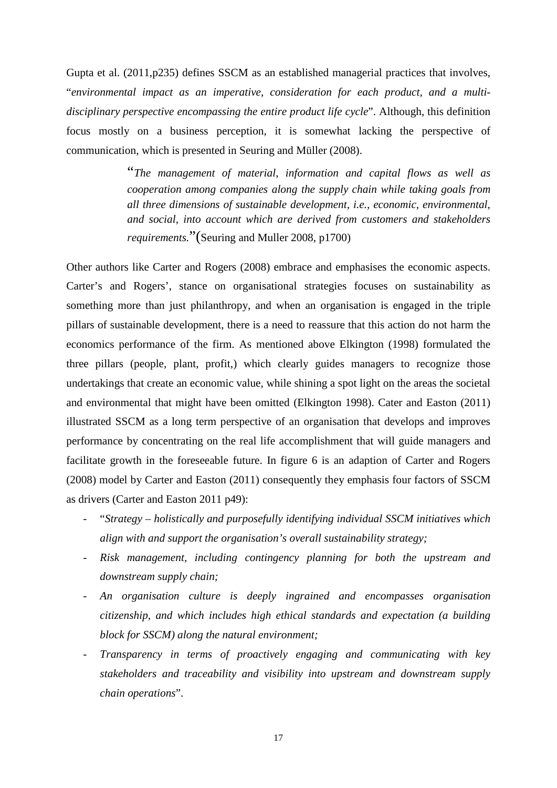Gupta et al. (2011,p235) defines SSCM as an established managerial practices that involves, "*environmental impact as an imperative, consideration for each product, and a multidisciplinary perspective encompassing the entire product life cycle*". Although, this definition focus mostly on a business perception, it is somewhat lacking the perspective of communication, which is presented in Seuring and Müller (2008).

> "*The management of material, information and capital flows as well as cooperation among companies along the supply chain while taking goals from all three dimensions of sustainable development, i.e., economic, environmental, and social, into account which are derived from customers and stakeholders requirements.*"(Seuring and Muller 2008, p1700)

Other authors like Carter and Rogers (2008) embrace and emphasises the economic aspects. Carter's and Rogers', stance on organisational strategies focuses on sustainability as something more than just philanthropy, and when an organisation is engaged in the triple pillars of sustainable development, there is a need to reassure that this action do not harm the economics performance of the firm. As mentioned above Elkington (1998) formulated the three pillars (people, plant, profit,) which clearly guides managers to recognize those undertakings that create an economic value, while shining a spot light on the areas the societal and environmental that might have been omitted (Elkington 1998). Cater and Easton (2011) illustrated SSCM as a long term perspective of an organisation that develops and improves performance by concentrating on the real life accomplishment that will guide managers and facilitate growth in the foreseeable future. In figure 6 is an adaption of Carter and Rogers (2008) model by Carter and Easton (2011) consequently they emphasis four factors of SSCM as drivers (Carter and Easton 2011 p49):

- "*Strategy – holistically and purposefully identifying individual SSCM initiatives which align with and support the organisation's overall sustainability strategy;*
- *Risk management, including contingency planning for both the upstream and downstream supply chain;*
- *An organisation culture is deeply ingrained and encompasses organisation citizenship, and which includes high ethical standards and expectation (a building block for SSCM) along the natural environment;*
- *Transparency in terms of proactively engaging and communicating with key stakeholders and traceability and visibility into upstream and downstream supply chain operations*".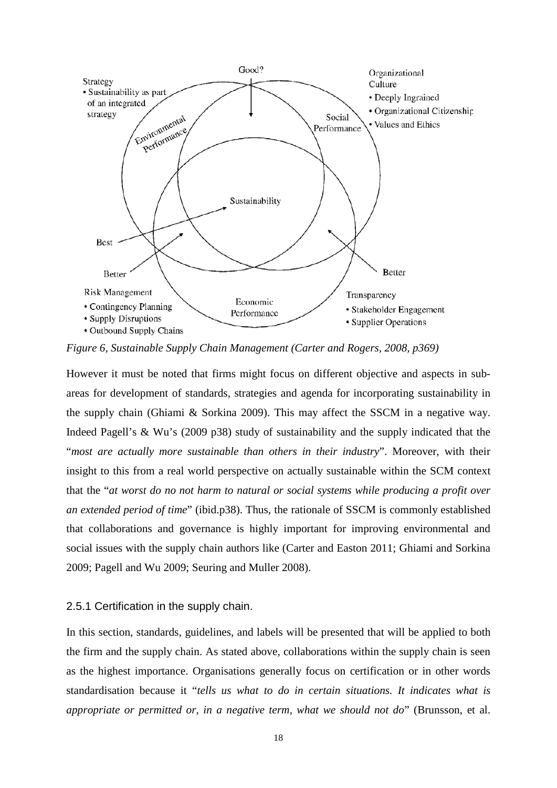

*Figure 6, Sustainable Supply Chain Management (Carter and Rogers, 2008, p369)*

However it must be noted that firms might focus on different objective and aspects in subareas for development of standards, strategies and agenda for incorporating sustainability in the supply chain (Ghiami & Sorkina 2009). This may affect the SSCM in a negative way. Indeed Pagell's & Wu's (2009 p38) study of sustainability and the supply indicated that the "*most are actually more sustainable than others in their industry*". Moreover, with their insight to this from a real world perspective on actually sustainable within the SCM context that the "*at worst do no not harm to natural or social systems while producing a profit over an extended period of time*" (ibid.p38). Thus, the rationale of SSCM is commonly established that collaborations and governance is highly important for improving environmental and social issues with the supply chain authors like (Carter and Easton 2011; Ghiami and Sorkina 2009; Pagell and Wu 2009; Seuring and Muller 2008).

#### <span id="page-25-0"></span>2.5.1 Certification in the supply chain.

In this section, standards, guidelines, and labels will be presented that will be applied to both the firm and the supply chain. As stated above, collaborations within the supply chain is seen as the highest importance. Organisations generally focus on certification or in other words standardisation because it "*tells us what to do in certain situations. It indicates what is appropriate or permitted or, in a negative term, what we should not do*" (Brunsson, et al.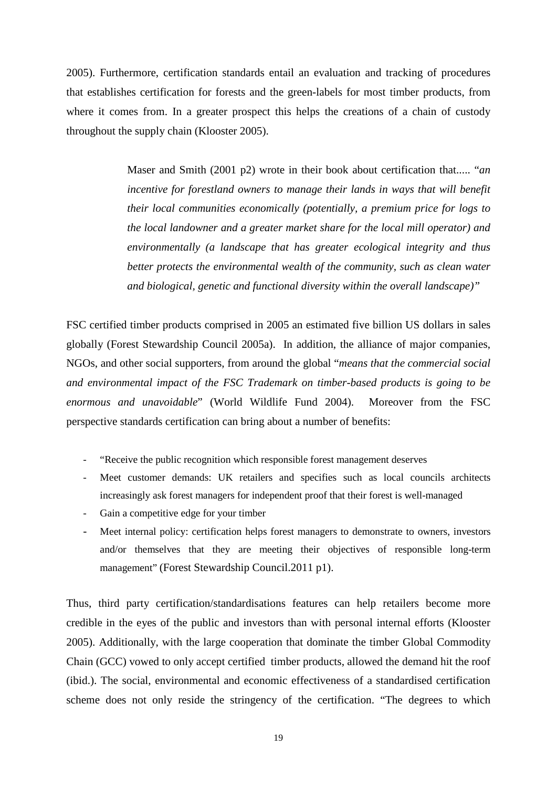2005). Furthermore, certification standards entail an evaluation and tracking of procedures that establishes certification for forests and the green-labels for most timber products, from where it comes from. In a greater prospect this helps the creations of a chain of custody throughout the supply chain (Klooster 2005).

> Maser and Smith (2001 p2) wrote in their book about certification that..... "*an incentive for forestland owners to manage their lands in ways that will benefit their local communities economically (potentially, a premium price for logs to the local landowner and a greater market share for the local mill operator) and environmentally (a landscape that has greater ecological integrity and thus better protects the environmental wealth of the community, such as clean water and biological, genetic and functional diversity within the overall landscape)"*

FSC certified timber products comprised in 2005 an estimated five billion US dollars in sales globally (Forest Stewardship Council 2005a). In addition, the alliance of major companies, NGOs, and other social supporters, from around the global "*means that the commercial social and environmental impact of the FSC Trademark on timber-based products is going to be enormous and unavoidable*" (World Wildlife Fund 2004). Moreover from the FSC perspective standards certification can bring about a number of benefits:

- "Receive the public recognition which responsible forest management deserves
- Meet customer demands: UK retailers and specifies such as local councils architects increasingly ask forest managers for independent proof that their forest is well-managed
- Gain a competitive edge for your timber
- Meet internal policy: certification helps forest managers to demonstrate to owners, investors and/or themselves that they are meeting their objectives of responsible long-term management" (Forest Stewardship Council.2011 p1).

Thus, third party certification/standardisations features can help retailers become more credible in the eyes of the public and investors than with personal internal efforts (Klooster 2005). Additionally, with the large cooperation that dominate the timber Global Commodity Chain (GCC) vowed to only accept certified timber products, allowed the demand hit the roof (ibid.). The social, environmental and economic effectiveness of a standardised certification scheme does not only reside the stringency of the certification. "The degrees to which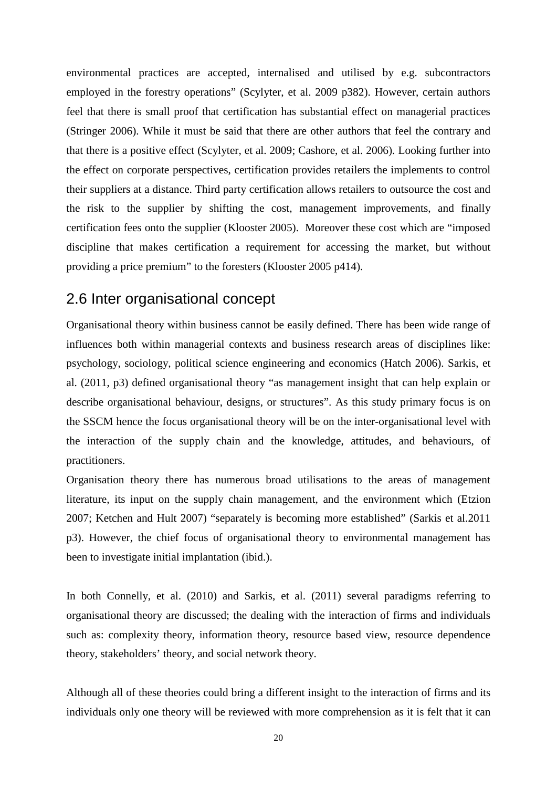environmental practices are accepted, internalised and utilised by e.g. subcontractors employed in the forestry operations" (Scylyter, et al. 2009 p382). However, certain authors feel that there is small proof that certification has substantial effect on managerial practices (Stringer 2006). While it must be said that there are other authors that feel the contrary and that there is a positive effect (Scylyter, et al. 2009; Cashore, et al. 2006). Looking further into the effect on corporate perspectives, certification provides retailers the implements to control their suppliers at a distance. Third party certification allows retailers to outsource the cost and the risk to the supplier by shifting the cost, management improvements, and finally certification fees onto the supplier (Klooster 2005). Moreover these cost which are "imposed discipline that makes certification a requirement for accessing the market, but without providing a price premium" to the foresters (Klooster 2005 p414).

## <span id="page-27-0"></span>2.6 Inter organisational concept

Organisational theory within business cannot be easily defined. There has been wide range of influences both within managerial contexts and business research areas of disciplines like: psychology, sociology, political science engineering and economics (Hatch 2006). Sarkis, et al. (2011, p3) defined organisational theory "as management insight that can help explain or describe organisational behaviour, designs, or structures". As this study primary focus is on the SSCM hence the focus organisational theory will be on the inter-organisational level with the interaction of the supply chain and the knowledge, attitudes, and behaviours, of practitioners.

Organisation theory there has numerous broad utilisations to the areas of management literature, its input on the supply chain management, and the environment which (Etzion 2007; Ketchen and Hult 2007) "separately is becoming more established" (Sarkis et al.2011 p3). However, the chief focus of organisational theory to environmental management has been to investigate initial implantation (ibid.).

In both Connelly, et al. (2010) and Sarkis, et al. (2011) several paradigms referring to organisational theory are discussed; the dealing with the interaction of firms and individuals such as: complexity theory, information theory, resource based view, resource dependence theory, stakeholders' theory, and social network theory.

Although all of these theories could bring a different insight to the interaction of firms and its individuals only one theory will be reviewed with more comprehension as it is felt that it can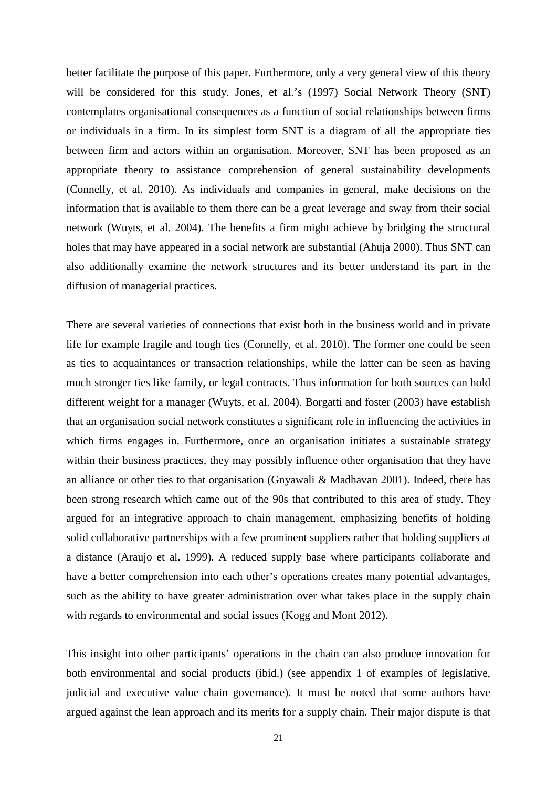better facilitate the purpose of this paper. Furthermore, only a very general view of this theory will be considered for this study. Jones, et al.'s (1997) Social Network Theory (SNT) contemplates organisational consequences as a function of social relationships between firms or individuals in a firm. In its simplest form SNT is a diagram of all the appropriate ties between firm and actors within an organisation. Moreover, SNT has been proposed as an appropriate theory to assistance comprehension of general sustainability developments (Connelly, et al. 2010). As individuals and companies in general, make decisions on the information that is available to them there can be a great leverage and sway from their social network (Wuyts, et al. 2004). The benefits a firm might achieve by bridging the structural holes that may have appeared in a social network are substantial (Ahuja 2000). Thus SNT can also additionally examine the network structures and its better understand its part in the diffusion of managerial practices.

There are several varieties of connections that exist both in the business world and in private life for example fragile and tough ties (Connelly, et al. 2010). The former one could be seen as ties to acquaintances or transaction relationships, while the latter can be seen as having much stronger ties like family, or legal contracts. Thus information for both sources can hold different weight for a manager (Wuyts, et al. 2004). Borgatti and foster (2003) have establish that an organisation social network constitutes a significant role in influencing the activities in which firms engages in. Furthermore, once an organisation initiates a sustainable strategy within their business practices, they may possibly influence other organisation that they have an alliance or other ties to that organisation (Gnyawali & Madhavan 2001). Indeed, there has been strong research which came out of the 90s that contributed to this area of study. They argued for an integrative approach to chain management, emphasizing benefits of holding solid collaborative partnerships with a few prominent suppliers rather that holding suppliers at a distance (Araujo et al. 1999). A reduced supply base where participants collaborate and have a better comprehension into each other's operations creates many potential advantages, such as the ability to have greater administration over what takes place in the supply chain with regards to environmental and social issues (Kogg and Mont 2012).

This insight into other participants' operations in the chain can also produce innovation for both environmental and social products (ibid.) (see appendix 1 of examples of legislative, judicial and executive value chain governance). It must be noted that some authors have argued against the lean approach and its merits for a supply chain. Their major dispute is that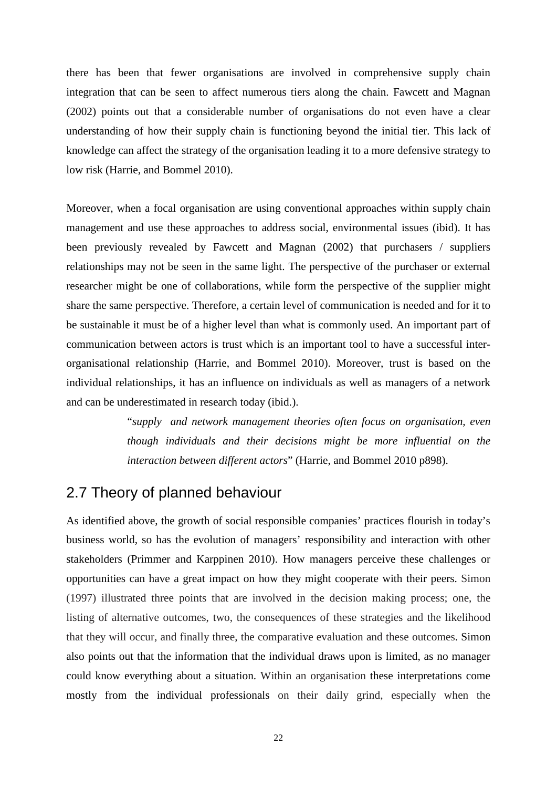there has been that fewer organisations are involved in comprehensive supply chain integration that can be seen to affect numerous tiers along the chain. Fawcett and Magnan (2002) points out that a considerable number of organisations do not even have a clear understanding of how their supply chain is functioning beyond the initial tier. This lack of knowledge can affect the strategy of the organisation leading it to a more defensive strategy to low risk (Harrie, and Bommel 2010).

Moreover, when a focal organisation are using conventional approaches within supply chain management and use these approaches to address social, environmental issues (ibid). It has been previously revealed by Fawcett and Magnan (2002) that purchasers / suppliers relationships may not be seen in the same light. The perspective of the purchaser or external researcher might be one of collaborations, while form the perspective of the supplier might share the same perspective. Therefore, a certain level of communication is needed and for it to be sustainable it must be of a higher level than what is commonly used. An important part of communication between actors is trust which is an important tool to have a successful interorganisational relationship (Harrie, and Bommel 2010). Moreover, trust is based on the individual relationships, it has an influence on individuals as well as managers of a network and can be underestimated in research today (ibid.).

> "*supply and network management theories often focus on organisation, even though individuals and their decisions might be more influential on the interaction between different actors*" (Harrie, and Bommel 2010 p898).

## <span id="page-29-0"></span>2.7 Theory of planned behaviour

As identified above, the growth of social responsible companies' practices flourish in today's business world, so has the evolution of managers' responsibility and interaction with other stakeholders (Primmer and Karppinen 2010). How managers perceive these challenges or opportunities can have a great impact on how they might cooperate with their peers. Simon (1997) illustrated three points that are involved in the decision making process; one, the listing of alternative outcomes, two, the consequences of these strategies and the likelihood that they will occur, and finally three, the comparative evaluation and these outcomes. Simon also points out that the information that the individual draws upon is limited, as no manager could know everything about a situation. Within an organisation these interpretations come mostly from the individual professionals on their daily grind, especially when the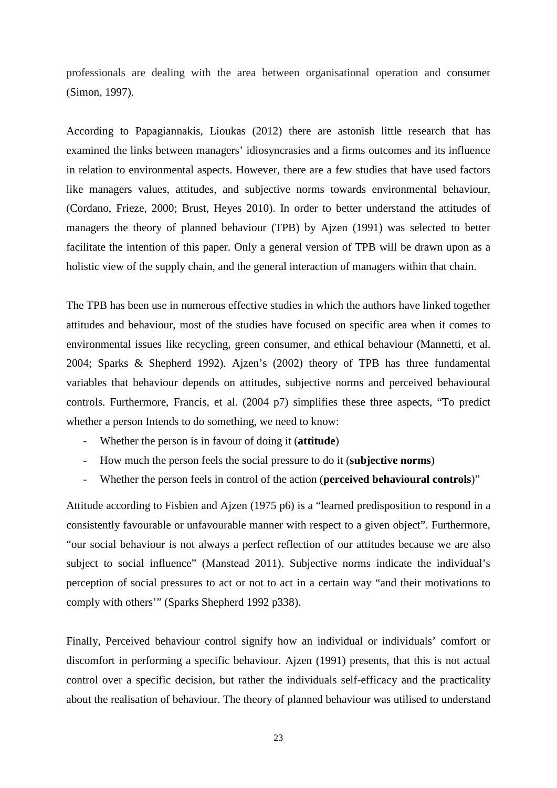professionals are dealing with the area between organisational operation and consumer (Simon, 1997).

According to Papagiannakis, Lioukas (2012) there are astonish little research that has examined the links between managers' idiosyncrasies and a firms outcomes and its influence in relation to environmental aspects. However, there are a few studies that have used factors like managers values, attitudes, and subjective norms towards environmental behaviour, (Cordano, Frieze, 2000; Brust, Heyes 2010). In order to better understand the attitudes of managers the theory of planned behaviour (TPB) by Ajzen (1991) was selected to better facilitate the intention of this paper. Only a general version of TPB will be drawn upon as a holistic view of the supply chain, and the general interaction of managers within that chain.

The TPB has been use in numerous effective studies in which the authors have linked together attitudes and behaviour, most of the studies have focused on specific area when it comes to environmental issues like recycling, green consumer, and ethical behaviour (Mannetti, et al. 2004; Sparks & Shepherd 1992). Ajzen's (2002) theory of TPB has three fundamental variables that behaviour depends on attitudes, subjective norms and perceived behavioural controls. Furthermore, Francis, et al. (2004 p7) simplifies these three aspects, "To predict whether a person Intends to do something, we need to know:

- Whether the person is in favour of doing it (**attitude**)
- How much the person feels the social pressure to do it (**subjective norms**)
- Whether the person feels in control of the action (**perceived behavioural controls**)"

Attitude according to Fisbien and Ajzen (1975 p6) is a "learned predisposition to respond in a consistently favourable or unfavourable manner with respect to a given object". Furthermore, "our social behaviour is not always a perfect reflection of our attitudes because we are also subject to social influence" (Manstead 2011). Subjective norms indicate the individual's perception of social pressures to act or not to act in a certain way "and their motivations to comply with others'" (Sparks Shepherd 1992 p338).

Finally, Perceived behaviour control signify how an individual or individuals' comfort or discomfort in performing a specific behaviour. Ajzen (1991) presents, that this is not actual control over a specific decision, but rather the individuals self-efficacy and the practicality about the realisation of behaviour. The theory of planned behaviour was utilised to understand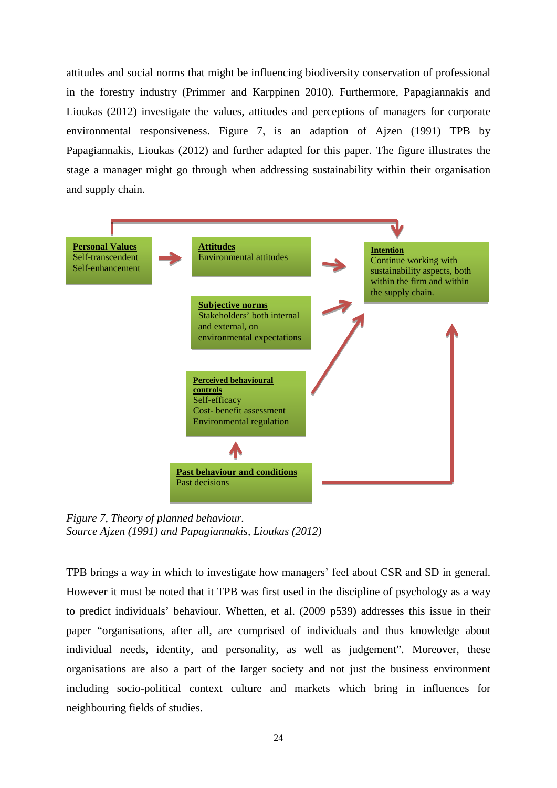attitudes and social norms that might be influencing biodiversity conservation of professional in the forestry industry (Primmer and Karppinen 2010). Furthermore, Papagiannakis and Lioukas (2012) investigate the values, attitudes and perceptions of managers for corporate environmental responsiveness. Figure 7, is an adaption of Ajzen (1991) TPB by Papagiannakis, Lioukas (2012) and further adapted for this paper. The figure illustrates the stage a manager might go through when addressing sustainability within their organisation and supply chain.



*Figure 7, Theory of planned behaviour. Source Ajzen (1991) and Papagiannakis, Lioukas (2012)*

TPB brings a way in which to investigate how managers' feel about CSR and SD in general. However it must be noted that it TPB was first used in the discipline of psychology as a way to predict individuals' behaviour. Whetten, et al. (2009 p539) addresses this issue in their paper "organisations, after all, are comprised of individuals and thus knowledge about individual needs, identity, and personality, as well as judgement". Moreover, these organisations are also a part of the larger society and not just the business environment including socio-political context culture and markets which bring in influences for neighbouring fields of studies.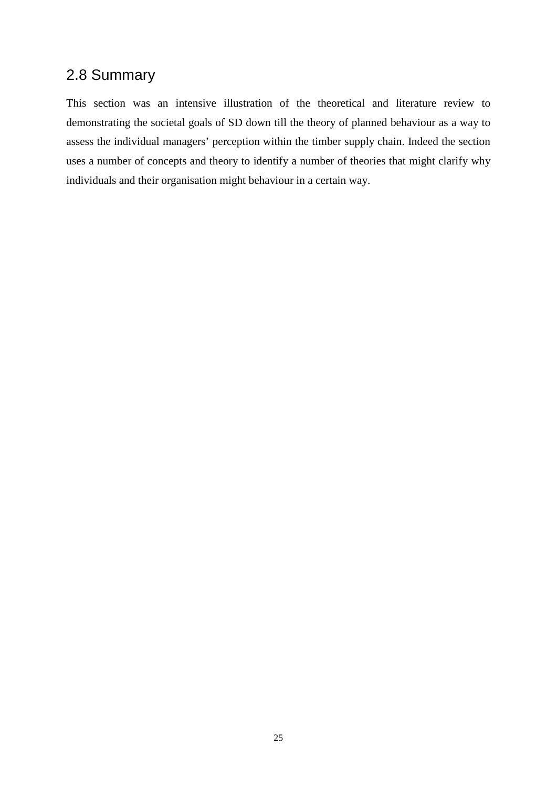## <span id="page-32-0"></span>2.8 Summary

This section was an intensive illustration of the theoretical and literature review to demonstrating the societal goals of SD down till the theory of planned behaviour as a way to assess the individual managers' perception within the timber supply chain. Indeed the section uses a number of concepts and theory to identify a number of theories that might clarify why individuals and their organisation might behaviour in a certain way.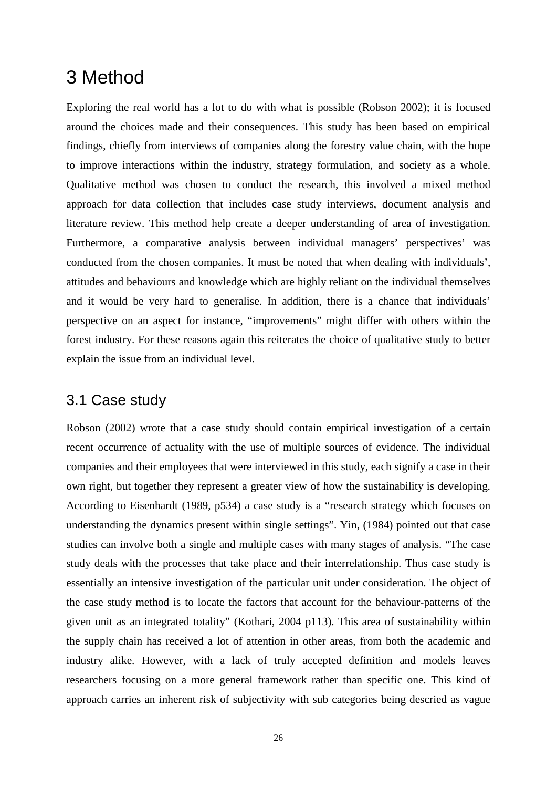## <span id="page-33-0"></span>3 Method

Exploring the real world has a lot to do with what is possible (Robson 2002); it is focused around the choices made and their consequences. This study has been based on empirical findings, chiefly from interviews of companies along the forestry value chain, with the hope to improve interactions within the industry, strategy formulation, and society as a whole. Qualitative method was chosen to conduct the research, this involved a mixed method approach for data collection that includes case study interviews, document analysis and literature review. This method help create a deeper understanding of area of investigation. Furthermore, a comparative analysis between individual managers' perspectives' was conducted from the chosen companies. It must be noted that when dealing with individuals', attitudes and behaviours and knowledge which are highly reliant on the individual themselves and it would be very hard to generalise. In addition, there is a chance that individuals' perspective on an aspect for instance, "improvements" might differ with others within the forest industry. For these reasons again this reiterates the choice of qualitative study to better explain the issue from an individual level.

## <span id="page-33-1"></span>3.1 Case study

Robson (2002) wrote that a case study should contain empirical investigation of a certain recent occurrence of actuality with the use of multiple sources of evidence. The individual companies and their employees that were interviewed in this study, each signify a case in their own right, but together they represent a greater view of how the sustainability is developing. According to Eisenhardt (1989, p534) a case study is a "research strategy which focuses on understanding the dynamics present within single settings". Yin, (1984) pointed out that case studies can involve both a single and multiple cases with many stages of analysis. "The case study deals with the processes that take place and their interrelationship. Thus case study is essentially an intensive investigation of the particular unit under consideration. The object of the case study method is to locate the factors that account for the behaviour-patterns of the given unit as an integrated totality" (Kothari, 2004 p113). This area of sustainability within the supply chain has received a lot of attention in other areas, from both the academic and industry alike. However, with a lack of truly accepted definition and models leaves researchers focusing on a more general framework rather than specific one. This kind of approach carries an inherent risk of subjectivity with sub categories being descried as vague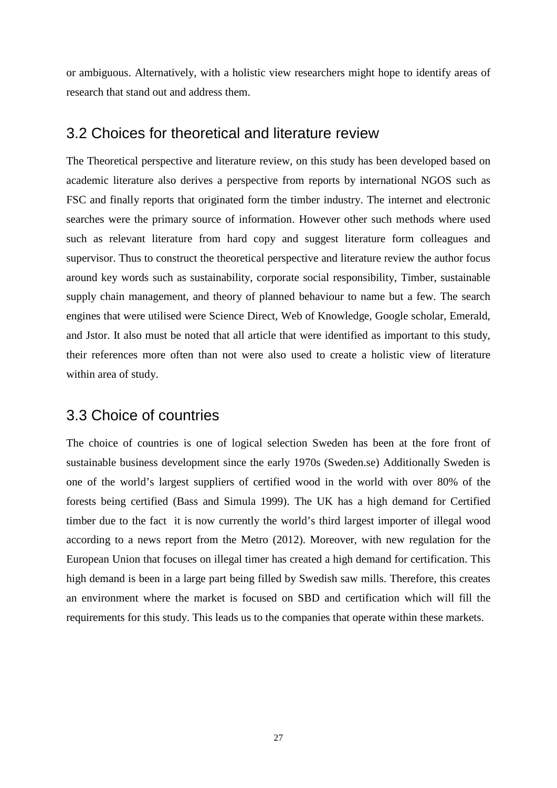or ambiguous. Alternatively, with a holistic view researchers might hope to identify areas of research that stand out and address them.

### <span id="page-34-0"></span>3.2 Choices for theoretical and literature review

The Theoretical perspective and literature review, on this study has been developed based on academic literature also derives a perspective from reports by international NGOS such as FSC and finally reports that originated form the timber industry. The internet and electronic searches were the primary source of information. However other such methods where used such as relevant literature from hard copy and suggest literature form colleagues and supervisor. Thus to construct the theoretical perspective and literature review the author focus around key words such as sustainability, corporate social responsibility, Timber, sustainable supply chain management, and theory of planned behaviour to name but a few. The search engines that were utilised were Science Direct, Web of Knowledge, Google scholar, Emerald, and Jstor. It also must be noted that all article that were identified as important to this study, their references more often than not were also used to create a holistic view of literature within area of study.

## <span id="page-34-1"></span>3.3 Choice of countries

The choice of countries is one of logical selection Sweden has been at the fore front of sustainable business development since the early 1970s (Sweden.se) Additionally Sweden is one of the world's largest suppliers of certified wood in the world with over 80% of the forests being certified (Bass and Simula 1999). The UK has a high demand for Certified timber due to the fact it is now currently the world's third largest importer of illegal wood according to a news report from the Metro (2012). Moreover, with new regulation for the European Union that focuses on illegal timer has created a high demand for certification. This high demand is been in a large part being filled by Swedish saw mills. Therefore, this creates an environment where the market is focused on SBD and certification which will fill the requirements for this study. This leads us to the companies that operate within these markets.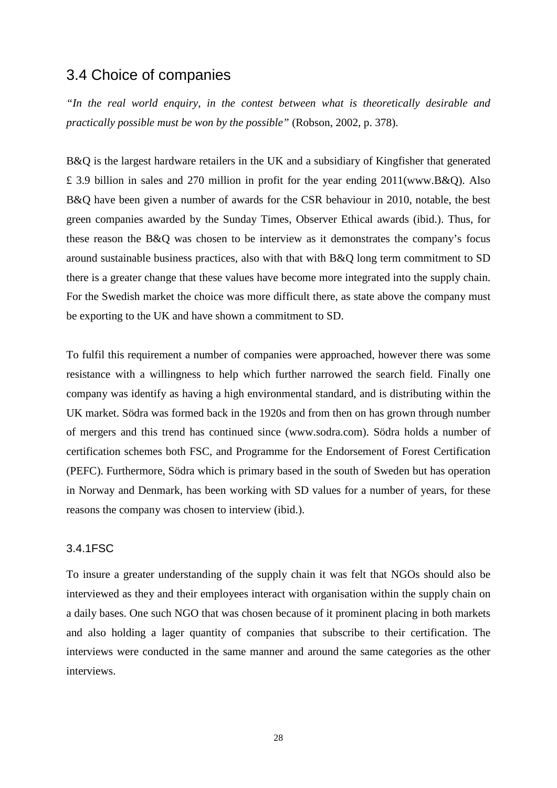## <span id="page-35-0"></span>3.4 Choice of companies

*"In the real world enquiry, in the contest between what is theoretically desirable and practically possible must be won by the possible"* (Robson, 2002, p. 378).

B&Q is the largest hardware retailers in the UK and a subsidiary of Kingfisher that generated £ 3.9 billion in sales and 270 million in profit for the year ending 2011(www.B&Q). Also B&Q have been given a number of awards for the CSR behaviour in 2010, notable, the best green companies awarded by the Sunday Times, Observer Ethical awards (ibid.). Thus, for these reason the B&Q was chosen to be interview as it demonstrates the company's focus around sustainable business practices, also with that with B&Q long term commitment to SD there is a greater change that these values have become more integrated into the supply chain. For the Swedish market the choice was more difficult there, as state above the company must be exporting to the UK and have shown a commitment to SD.

To fulfil this requirement a number of companies were approached, however there was some resistance with a willingness to help which further narrowed the search field. Finally one company was identify as having a high environmental standard, and is distributing within the UK market. Södra was formed back in the 1920s and from then on has grown through number of mergers and this trend has continued since (www.sodra.com). Södra holds a number of certification schemes both FSC, and Programme for the Endorsement of Forest Certification (PEFC). Furthermore, Södra which is primary based in the south of Sweden but has operation in Norway and Denmark, has been working with SD values for a number of years, for these reasons the company was chosen to interview (ibid.).

#### <span id="page-35-1"></span>3.4.1FSC

To insure a greater understanding of the supply chain it was felt that NGOs should also be interviewed as they and their employees interact with organisation within the supply chain on a daily bases. One such NGO that was chosen because of it prominent placing in both markets and also holding a lager quantity of companies that subscribe to their certification. The interviews were conducted in the same manner and around the same categories as the other interviews.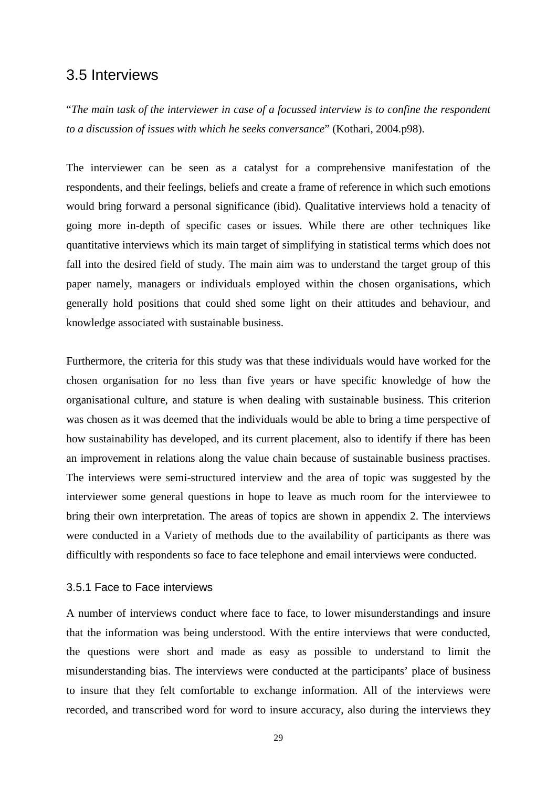### <span id="page-36-0"></span>3.5 Interviews

"*The main task of the interviewer in case of a focussed interview is to confine the respondent to a discussion of issues with which he seeks conversance*" (Kothari, 2004.p98).

The interviewer can be seen as a catalyst for a comprehensive manifestation of the respondents, and their feelings, beliefs and create a frame of reference in which such emotions would bring forward a personal significance (ibid). Qualitative interviews hold a tenacity of going more in-depth of specific cases or issues. While there are other techniques like quantitative interviews which its main target of simplifying in statistical terms which does not fall into the desired field of study. The main aim was to understand the target group of this paper namely, managers or individuals employed within the chosen organisations, which generally hold positions that could shed some light on their attitudes and behaviour, and knowledge associated with sustainable business.

Furthermore, the criteria for this study was that these individuals would have worked for the chosen organisation for no less than five years or have specific knowledge of how the organisational culture, and stature is when dealing with sustainable business. This criterion was chosen as it was deemed that the individuals would be able to bring a time perspective of how sustainability has developed, and its current placement, also to identify if there has been an improvement in relations along the value chain because of sustainable business practises. The interviews were semi-structured interview and the area of topic was suggested by the interviewer some general questions in hope to leave as much room for the interviewee to bring their own interpretation. The areas of topics are shown in appendix 2. The interviews were conducted in a Variety of methods due to the availability of participants as there was difficultly with respondents so face to face telephone and email interviews were conducted.

#### <span id="page-36-1"></span>3.5.1 Face to Face interviews

A number of interviews conduct where face to face, to lower misunderstandings and insure that the information was being understood. With the entire interviews that were conducted, the questions were short and made as easy as possible to understand to limit the misunderstanding bias. The interviews were conducted at the participants' place of business to insure that they felt comfortable to exchange information. All of the interviews were recorded, and transcribed word for word to insure accuracy, also during the interviews they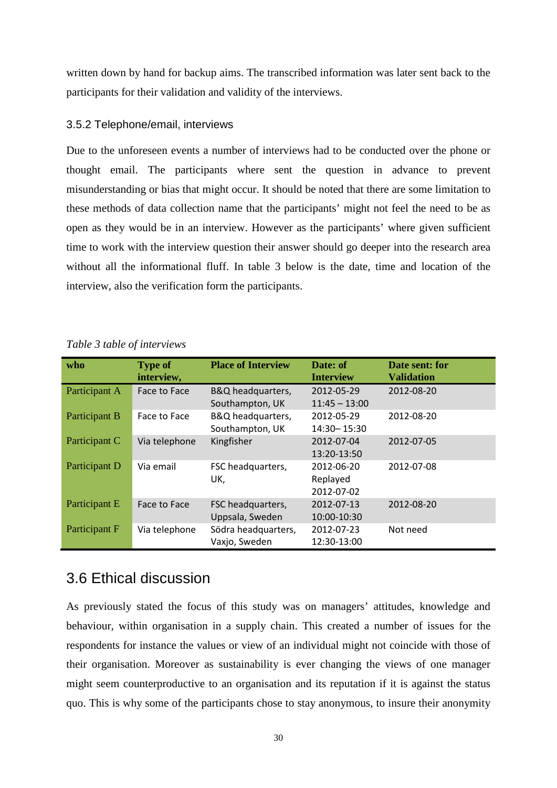written down by hand for backup aims. The transcribed information was later sent back to the participants for their validation and validity of the interviews.

#### <span id="page-37-0"></span>3.5.2 Telephone/email, interviews

Due to the unforeseen events a number of interviews had to be conducted over the phone or thought email. The participants where sent the question in advance to prevent misunderstanding or bias that might occur. It should be noted that there are some limitation to these methods of data collection name that the participants' might not feel the need to be as open as they would be in an interview. However as the participants' where given sufficient time to work with the interview question their answer should go deeper into the research area without all the informational fluff. In table 3 below is the date, time and location of the interview, also the verification form the participants.

| who           | <b>Type of</b><br>interview, | <b>Place of Interview</b>            | Date: of<br><b>Interview</b>         | Date sent: for<br><b>Validation</b> |
|---------------|------------------------------|--------------------------------------|--------------------------------------|-------------------------------------|
| Participant A | Face to Face                 | B&Q headquarters,<br>Southampton, UK | 2012-05-29<br>$11:45 - 13:00$        | 2012-08-20                          |
| Participant B | Face to Face                 | B&Q headquarters,<br>Southampton, UK | 2012-05-29<br>14:30 - 15:30          | 2012-08-20                          |
| Participant C | Via telephone                | Kingfisher                           | 2012-07-04<br>13:20-13:50            | 2012-07-05                          |
| Participant D | Via email                    | FSC headquarters,<br>UK,             | 2012-06-20<br>Replayed<br>2012-07-02 | 2012-07-08                          |
| Participant E | Face to Face                 | FSC headquarters,<br>Uppsala, Sweden | 2012-07-13<br>10:00-10:30            | 2012-08-20                          |
| Participant F | Via telephone                | Södra headquarters,<br>Vaxjo, Sweden | 2012-07-23<br>12:30-13:00            | Not need                            |

*Table 3 table of interviews*

## <span id="page-37-1"></span>3.6 Ethical discussion

As previously stated the focus of this study was on managers' attitudes, knowledge and behaviour, within organisation in a supply chain. This created a number of issues for the respondents for instance the values or view of an individual might not coincide with those of their organisation. Moreover as sustainability is ever changing the views of one manager might seem counterproductive to an organisation and its reputation if it is against the status quo. This is why some of the participants chose to stay anonymous, to insure their anonymity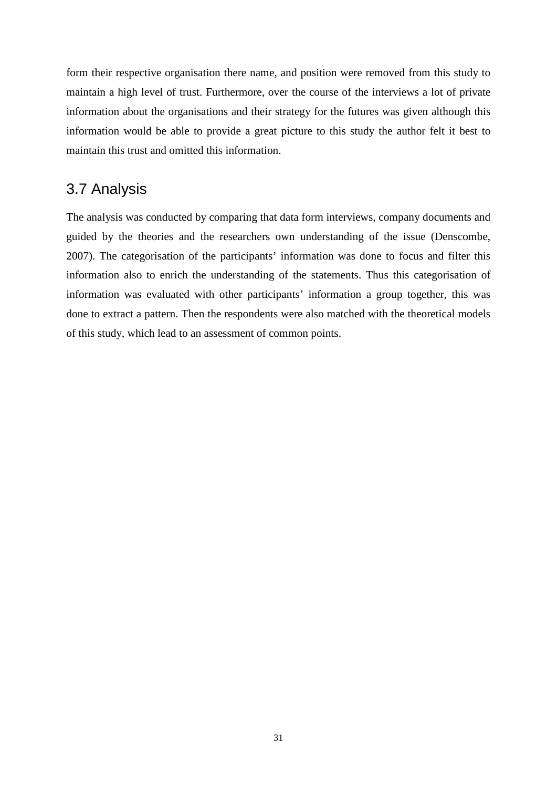form their respective organisation there name, and position were removed from this study to maintain a high level of trust. Furthermore, over the course of the interviews a lot of private information about the organisations and their strategy for the futures was given although this information would be able to provide a great picture to this study the author felt it best to maintain this trust and omitted this information.

## <span id="page-38-0"></span>3.7 Analysis

The analysis was conducted by comparing that data form interviews, company documents and guided by the theories and the researchers own understanding of the issue (Denscombe, 2007). The categorisation of the participants' information was done to focus and filter this information also to enrich the understanding of the statements. Thus this categorisation of information was evaluated with other participants' information a group together, this was done to extract a pattern. Then the respondents were also matched with the theoretical models of this study, which lead to an assessment of common points.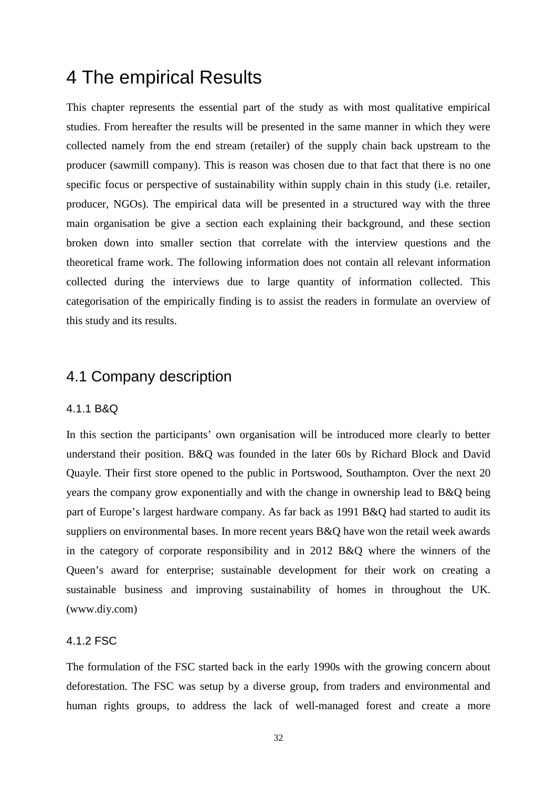## <span id="page-39-0"></span>4 The empirical Results

This chapter represents the essential part of the study as with most qualitative empirical studies. From hereafter the results will be presented in the same manner in which they were collected namely from the end stream (retailer) of the supply chain back upstream to the producer (sawmill company). This is reason was chosen due to that fact that there is no one specific focus or perspective of sustainability within supply chain in this study (i.e. retailer, producer, NGOs). The empirical data will be presented in a structured way with the three main organisation be give a section each explaining their background, and these section broken down into smaller section that correlate with the interview questions and the theoretical frame work. The following information does not contain all relevant information collected during the interviews due to large quantity of information collected. This categorisation of the empirically finding is to assist the readers in formulate an overview of this study and its results.

## <span id="page-39-1"></span>4.1 Company description

#### <span id="page-39-2"></span>4.1.1 B&Q

In this section the participants' own organisation will be introduced more clearly to better understand their position. B&Q was founded in the later 60s by Richard Block and David Quayle. Their first store opened to the public in Portswood, Southampton. Over the next 20 years the company grow exponentially and with the change in ownership lead to B&Q being part of Europe's largest hardware company. As far back as 1991 B&Q had started to audit its suppliers on environmental bases. In more recent years B&Q have won the retail week awards in the category of corporate responsibility and in 2012 B&Q where the winners of the Queen's award for enterprise; sustainable development for their work on creating a sustainable business and improving sustainability of homes in throughout the UK. (www.diy.com)

#### <span id="page-39-3"></span>4.1.2 FSC

The formulation of the FSC started back in the early 1990s with the growing concern about deforestation. The FSC was setup by a diverse group, from traders and environmental and human rights groups, to address the lack of well-managed forest and create a more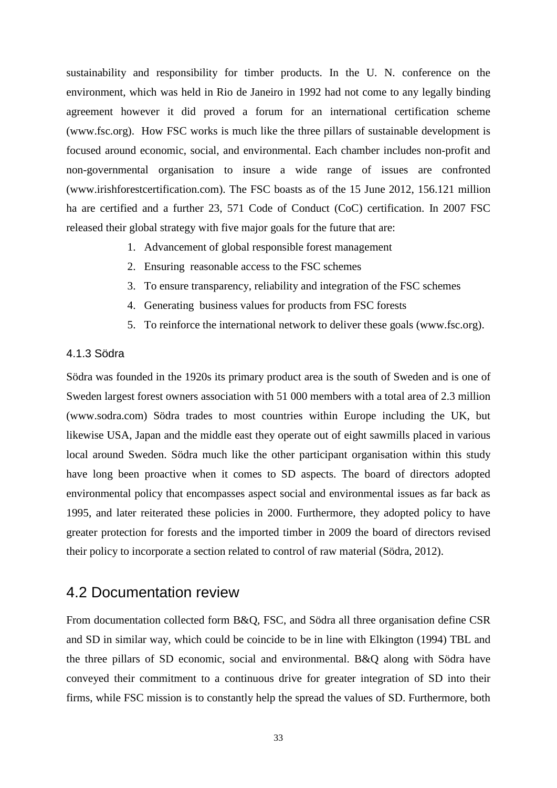sustainability and responsibility for timber products. In the U. N. conference on the environment, which was held in Rio de Janeiro in 1992 had not come to any legally binding agreement however it did proved a forum for an international certification scheme (www.fsc.org). How FSC works is much like the three pillars of sustainable development is focused around economic, social, and environmental. Each chamber includes non-profit and non-governmental organisation to insure a wide range of issues are confronted (www.irishforestcertification.com). The FSC boasts as of the 15 June 2012, 156.121 million ha are certified and a further 23, 571 Code of Conduct (CoC) certification. In 2007 FSC released their global strategy with five major goals for the future that are:

- 1. Advancement of global responsible forest management
- 2. Ensuring reasonable access to the FSC schemes
- 3. To ensure transparency, reliability and integration of the FSC schemes
- 4. Generating business values for products from FSC forests
- 5. To reinforce the international network to deliver these goals (www.fsc.org).

#### <span id="page-40-0"></span>4.1.3 Södra

Södra was founded in the 1920s its primary product area is the south of Sweden and is one of Sweden largest forest owners association with 51 000 members with a total area of 2.3 million (www.sodra.com) Södra trades to most countries within Europe including the UK, but likewise USA, Japan and the middle east they operate out of eight sawmills placed in various local around Sweden. Södra much like the other participant organisation within this study have long been proactive when it comes to SD aspects. The board of directors adopted environmental policy that encompasses aspect social and environmental issues as far back as 1995, and later reiterated these policies in 2000. Furthermore, they adopted policy to have greater protection for forests and the imported timber in 2009 the board of directors revised their policy to incorporate a section related to control of raw material (Södra, 2012).

## <span id="page-40-1"></span>4.2 Documentation review

From documentation collected form B&Q, FSC, and Södra all three organisation define CSR and SD in similar way, which could be coincide to be in line with Elkington (1994) TBL and the three pillars of SD economic, social and environmental. B&Q along with Södra have conveyed their commitment to a continuous drive for greater integration of SD into their firms, while FSC mission is to constantly help the spread the values of SD. Furthermore, both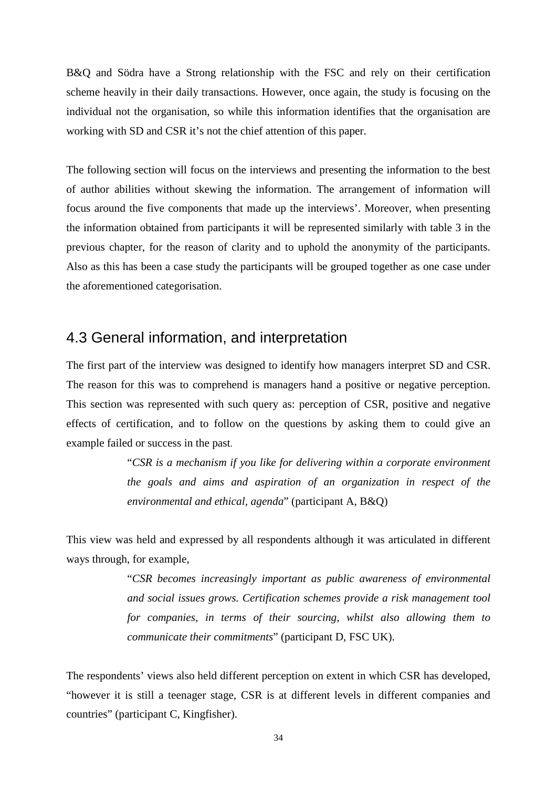B&Q and Södra have a Strong relationship with the FSC and rely on their certification scheme heavily in their daily transactions. However, once again, the study is focusing on the individual not the organisation, so while this information identifies that the organisation are working with SD and CSR it's not the chief attention of this paper.

The following section will focus on the interviews and presenting the information to the best of author abilities without skewing the information. The arrangement of information will focus around the five components that made up the interviews'. Moreover, when presenting the information obtained from participants it will be represented similarly with table 3 in the previous chapter, for the reason of clarity and to uphold the anonymity of the participants. Also as this has been a case study the participants will be grouped together as one case under the aforementioned categorisation.

### <span id="page-41-0"></span>4.3 General information, and interpretation

The first part of the interview was designed to identify how managers interpret SD and CSR. The reason for this was to comprehend is managers hand a positive or negative perception. This section was represented with such query as: perception of CSR, positive and negative effects of certification, and to follow on the questions by asking them to could give an example failed or success in the past.

> "*CSR is a mechanism if you like for delivering within a corporate environment the goals and aims and aspiration of an organization in respect of the environmental and ethical, agenda*" (participant A, B&Q)

This view was held and expressed by all respondents although it was articulated in different ways through, for example,

> "*CSR becomes increasingly important as public awareness of environmental and social issues grows. Certification schemes provide a risk management tool for companies, in terms of their sourcing, whilst also allowing them to communicate their commitments*" (participant D, FSC UK).

The respondents' views also held different perception on extent in which CSR has developed, "however it is still a teenager stage, CSR is at different levels in different companies and countries" (participant C, Kingfisher).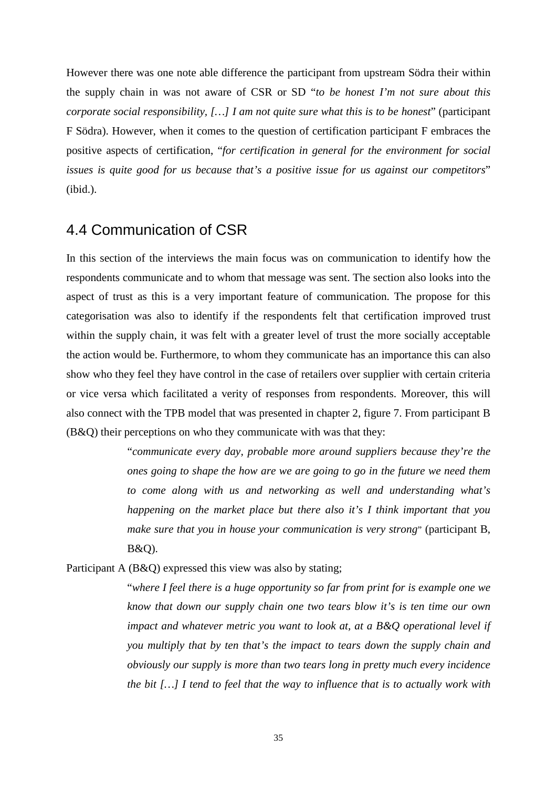However there was one note able difference the participant from upstream Södra their within the supply chain in was not aware of CSR or SD "*to be honest I'm not sure about this corporate social responsibility, […] I am not quite sure what this is to be honest*" (participant F Södra). However, when it comes to the question of certification participant F embraces the positive aspects of certification, "*for certification in general for the environment for social issues is quite good for us because that's a positive issue for us against our competitors*" (ibid.).

### <span id="page-42-0"></span>4.4 Communication of CSR

In this section of the interviews the main focus was on communication to identify how the respondents communicate and to whom that message was sent. The section also looks into the aspect of trust as this is a very important feature of communication. The propose for this categorisation was also to identify if the respondents felt that certification improved trust within the supply chain, it was felt with a greater level of trust the more socially acceptable the action would be. Furthermore, to whom they communicate has an importance this can also show who they feel they have control in the case of retailers over supplier with certain criteria or vice versa which facilitated a verity of responses from respondents. Moreover, this will also connect with the TPB model that was presented in chapter 2, figure 7. From participant B (B&Q) their perceptions on who they communicate with was that they:

> "*communicate every day, probable more around suppliers because they're the ones going to shape the how are we are going to go in the future we need them to come along with us and networking as well and understanding what's happening on the market place but there also it's I think important that you make sure that you in house your communication is very strong*" (participant B, B&Q).

Participant A (B&Q) expressed this view was also by stating;

"*where I feel there is a huge opportunity so far from print for is example one we know that down our supply chain one two tears blow it's is ten time our own impact and whatever metric you want to look at, at a B&Q operational level if you multiply that by ten that's the impact to tears down the supply chain and obviously our supply is more than two tears long in pretty much every incidence the bit […] I tend to feel that the way to influence that is to actually work with*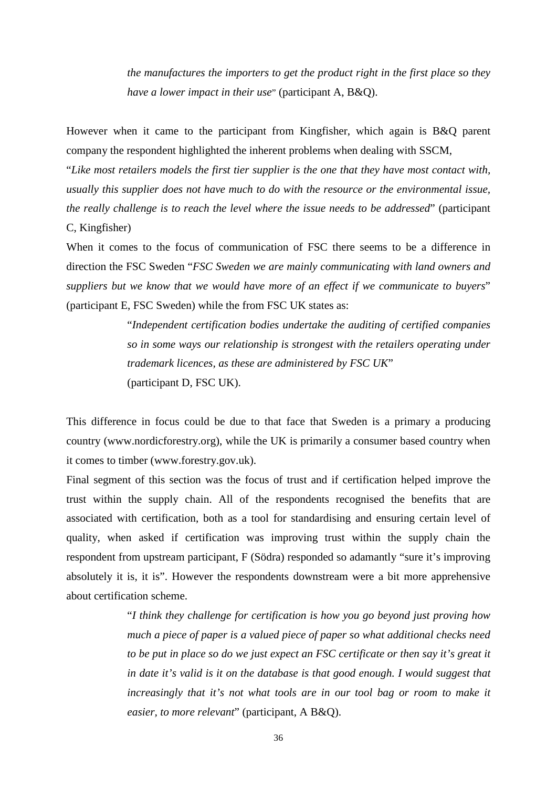*the manufactures the importers to get the product right in the first place so they have a lower impact in their use*" (participant A, B&Q).

However when it came to the participant from Kingfisher, which again is B&Q parent company the respondent highlighted the inherent problems when dealing with SSCM,

"*Like most retailers models the first tier supplier is the one that they have most contact with, usually this supplier does not have much to do with the resource or the environmental issue, the really challenge is to reach the level where the issue needs to be addressed*" (participant C, Kingfisher)

When it comes to the focus of communication of FSC there seems to be a difference in direction the FSC Sweden "*FSC Sweden we are mainly communicating with land owners and suppliers but we know that we would have more of an effect if we communicate to buyers*" (participant E, FSC Sweden) while the from FSC UK states as:

> "*Independent certification bodies undertake the auditing of certified companies so in some ways our relationship is strongest with the retailers operating under trademark licences, as these are administered by FSC UK*" (participant D, FSC UK).

This difference in focus could be due to that face that Sweden is a primary a producing country (www.nordicforestry.org), while the UK is primarily a consumer based country when it comes to timber (www.forestry.gov.uk).

Final segment of this section was the focus of trust and if certification helped improve the trust within the supply chain. All of the respondents recognised the benefits that are associated with certification, both as a tool for standardising and ensuring certain level of quality, when asked if certification was improving trust within the supply chain the respondent from upstream participant, F (Södra) responded so adamantly "sure it's improving absolutely it is, it is". However the respondents downstream were a bit more apprehensive about certification scheme.

> "*I think they challenge for certification is how you go beyond just proving how much a piece of paper is a valued piece of paper so what additional checks need to be put in place so do we just expect an FSC certificate or then say it's great it in date it's valid is it on the database is that good enough. I would suggest that increasingly that it's not what tools are in our tool bag or room to make it easier, to more relevant*" (participant, A B&Q).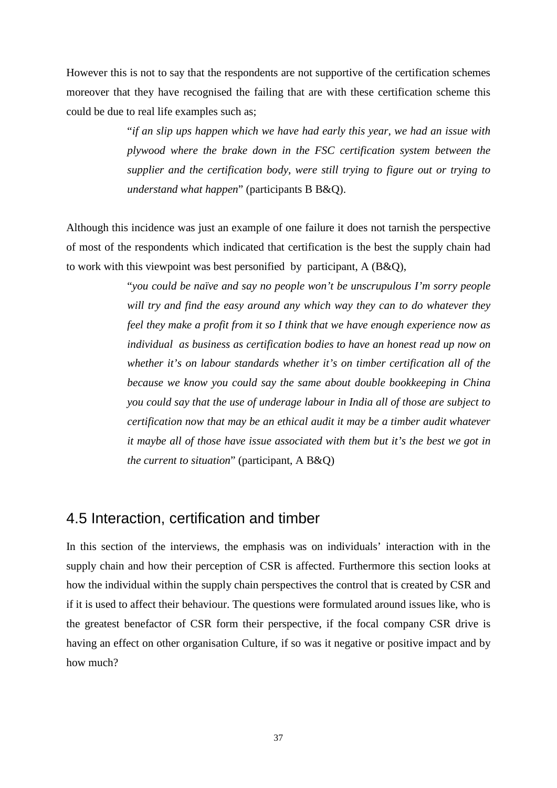However this is not to say that the respondents are not supportive of the certification schemes moreover that they have recognised the failing that are with these certification scheme this could be due to real life examples such as;

> "*if an slip ups happen which we have had early this year, we had an issue with plywood where the brake down in the FSC certification system between the supplier and the certification body, were still trying to figure out or trying to understand what happen*" (participants B B&Q).

Although this incidence was just an example of one failure it does not tarnish the perspective of most of the respondents which indicated that certification is the best the supply chain had to work with this viewpoint was best personified by participant, A (B&Q),

> "*you could be naïve and say no people won't be unscrupulous I'm sorry people will try and find the easy around any which way they can to do whatever they feel they make a profit from it so I think that we have enough experience now as individual as business as certification bodies to have an honest read up now on whether it's on labour standards whether it's on timber certification all of the because we know you could say the same about double bookkeeping in China you could say that the use of underage labour in India all of those are subject to certification now that may be an ethical audit it may be a timber audit whatever it maybe all of those have issue associated with them but it's the best we got in the current to situation*" (participant, A B&Q)

## <span id="page-44-0"></span>4.5 Interaction, certification and timber

In this section of the interviews, the emphasis was on individuals' interaction with in the supply chain and how their perception of CSR is affected. Furthermore this section looks at how the individual within the supply chain perspectives the control that is created by CSR and if it is used to affect their behaviour. The questions were formulated around issues like, who is the greatest benefactor of CSR form their perspective, if the focal company CSR drive is having an effect on other organisation Culture, if so was it negative or positive impact and by how much?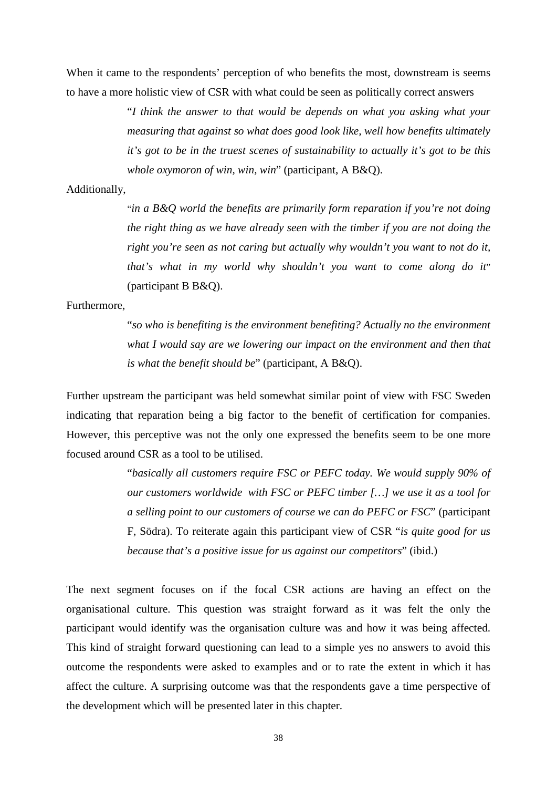When it came to the respondents' perception of who benefits the most, downstream is seems to have a more holistic view of CSR with what could be seen as politically correct answers

> "*I think the answer to that would be depends on what you asking what your measuring that against so what does good look like, well how benefits ultimately it's got to be in the truest scenes of sustainability to actually it's got to be this whole oxymoron of win, win, win*" (participant, A B&Q).

#### Additionally,

"*in a B&Q world the benefits are primarily form reparation if you're not doing the right thing as we have already seen with the timber if you are not doing the right you're seen as not caring but actually why wouldn't you want to not do it, that's what in my world why shouldn't you want to come along do it*" (participant B B&Q).

#### Furthermore,

"*so who is benefiting is the environment benefiting? Actually no the environment what I would say are we lowering our impact on the environment and then that is what the benefit should be*" (participant, A B&Q).

Further upstream the participant was held somewhat similar point of view with FSC Sweden indicating that reparation being a big factor to the benefit of certification for companies. However, this perceptive was not the only one expressed the benefits seem to be one more focused around CSR as a tool to be utilised.

> "*basically all customers require FSC or PEFC today. We would supply 90% of our customers worldwide with FSC or PEFC timber […] we use it as a tool for a selling point to our customers of course we can do PEFC or FSC*" (participant F, Södra). To reiterate again this participant view of CSR "*is quite good for us because that's a positive issue for us against our competitors*" (ibid.)

The next segment focuses on if the focal CSR actions are having an effect on the organisational culture. This question was straight forward as it was felt the only the participant would identify was the organisation culture was and how it was being affected. This kind of straight forward questioning can lead to a simple yes no answers to avoid this outcome the respondents were asked to examples and or to rate the extent in which it has affect the culture. A surprising outcome was that the respondents gave a time perspective of the development which will be presented later in this chapter.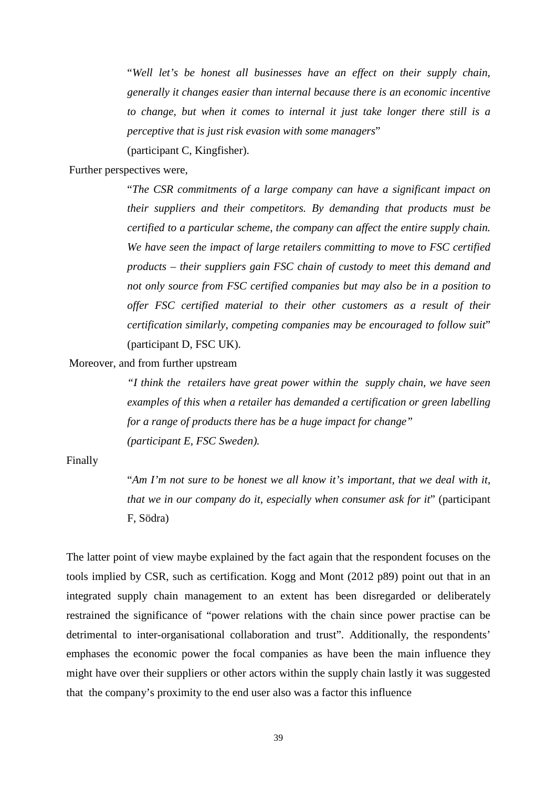"*Well let's be honest all businesses have an effect on their supply chain, generally it changes easier than internal because there is an economic incentive to change, but when it comes to internal it just take longer there still is a perceptive that is just risk evasion with some managers*"

(participant C, Kingfisher).

#### Further perspectives were,

"*The CSR commitments of a large company can have a significant impact on their suppliers and their competitors. By demanding that products must be certified to a particular scheme, the company can affect the entire supply chain. We have seen the impact of large retailers committing to move to FSC certified products – their suppliers gain FSC chain of custody to meet this demand and not only source from FSC certified companies but may also be in a position to offer FSC certified material to their other customers as a result of their certification similarly, competing companies may be encouraged to follow suit*" (participant D, FSC UK).

Moreover, and from further upstream

*"I think the retailers have great power within the supply chain, we have seen examples of this when a retailer has demanded a certification or green labelling for a range of products there has be a huge impact for change" (participant E, FSC Sweden).*

#### Finally

"*Am I'm not sure to be honest we all know it's important, that we deal with it, that we in our company do it, especially when consumer ask for it*" (participant F, Södra)

The latter point of view maybe explained by the fact again that the respondent focuses on the tools implied by CSR, such as certification. Kogg and Mont (2012 p89) point out that in an integrated supply chain management to an extent has been disregarded or deliberately restrained the significance of "power relations with the chain since power practise can be detrimental to inter-organisational collaboration and trust". Additionally, the respondents' emphases the economic power the focal companies as have been the main influence they might have over their suppliers or other actors within the supply chain lastly it was suggested that the company's proximity to the end user also was a factor this influence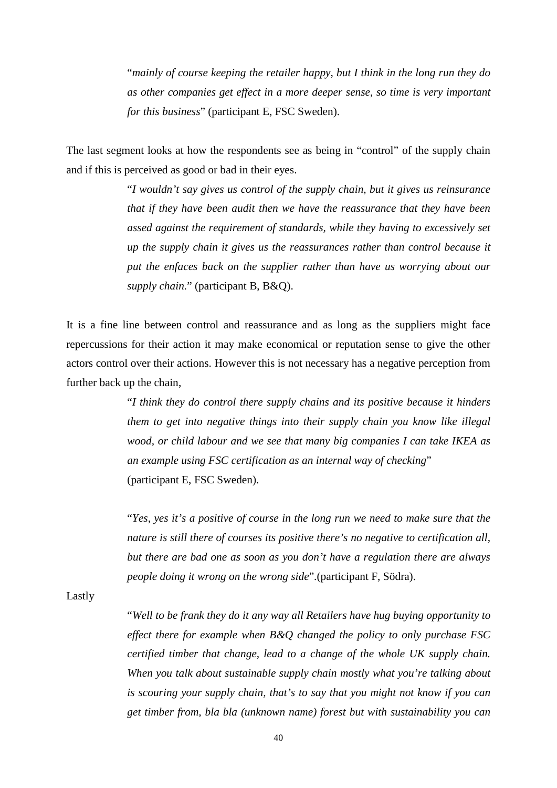"*mainly of course keeping the retailer happy, but I think in the long run they do as other companies get effect in a more deeper sense, so time is very important for this business*" (participant E, FSC Sweden).

The last segment looks at how the respondents see as being in "control" of the supply chain and if this is perceived as good or bad in their eyes.

> "*I wouldn't say gives us control of the supply chain, but it gives us reinsurance that if they have been audit then we have the reassurance that they have been assed against the requirement of standards, while they having to excessively set up the supply chain it gives us the reassurances rather than control because it put the enfaces back on the supplier rather than have us worrying about our supply chain.*" (participant B, B&Q).

It is a fine line between control and reassurance and as long as the suppliers might face repercussions for their action it may make economical or reputation sense to give the other actors control over their actions. However this is not necessary has a negative perception from further back up the chain,

> "*I think they do control there supply chains and its positive because it hinders them to get into negative things into their supply chain you know like illegal wood, or child labour and we see that many big companies I can take IKEA as an example using FSC certification as an internal way of checking*" (participant E, FSC Sweden).

> "*Yes, yes it's a positive of course in the long run we need to make sure that the nature is still there of courses its positive there's no negative to certification all, but there are bad one as soon as you don't have a regulation there are always people doing it wrong on the wrong side*".(participant F, Södra).

Lastly

"*Well to be frank they do it any way all Retailers have hug buying opportunity to effect there for example when B&Q changed the policy to only purchase FSC certified timber that change, lead to a change of the whole UK supply chain. When you talk about sustainable supply chain mostly what you're talking about is scouring your supply chain, that's to say that you might not know if you can get timber from, bla bla (unknown name) forest but with sustainability you can*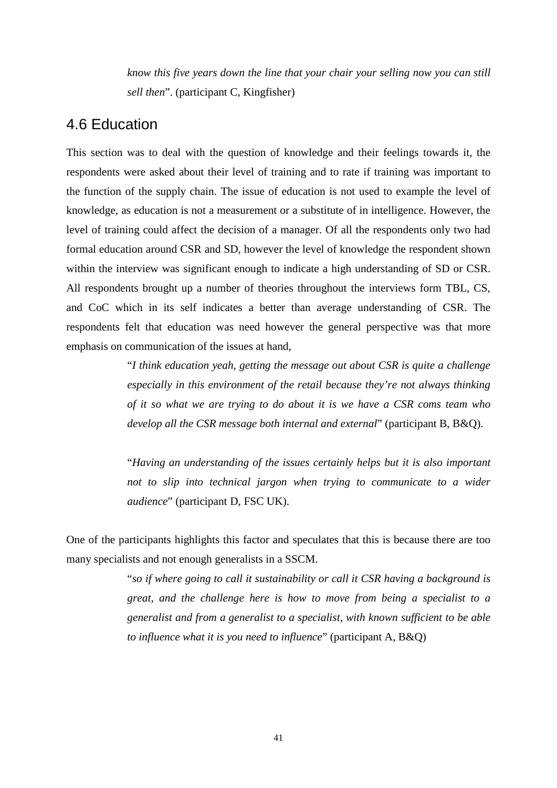*know this five years down the line that your chair your selling now you can still sell then*". (participant C, Kingfisher)

## <span id="page-48-0"></span>4.6 Education

This section was to deal with the question of knowledge and their feelings towards it, the respondents were asked about their level of training and to rate if training was important to the function of the supply chain. The issue of education is not used to example the level of knowledge, as education is not a measurement or a substitute of in intelligence. However, the level of training could affect the decision of a manager. Of all the respondents only two had formal education around CSR and SD, however the level of knowledge the respondent shown within the interview was significant enough to indicate a high understanding of SD or CSR. All respondents brought up a number of theories throughout the interviews form TBL, CS, and CoC which in its self indicates a better than average understanding of CSR. The respondents felt that education was need however the general perspective was that more emphasis on communication of the issues at hand,

> "*I think education yeah, getting the message out about CSR is quite a challenge especially in this environment of the retail because they're not always thinking of it so what we are trying to do about it is we have a CSR coms team who develop all the CSR message both internal and external*" (participant B, B&Q).

> "*Having an understanding of the issues certainly helps but it is also important not to slip into technical jargon when trying to communicate to a wider audience*" (participant D, FSC UK).

One of the participants highlights this factor and speculates that this is because there are too many specialists and not enough generalists in a SSCM.

> "*so if where going to call it sustainability or call it CSR having a background is great, and the challenge here is how to move from being a specialist to a generalist and from a generalist to a specialist, with known sufficient to be able to influence what it is you need to influence*" (participant A, B&Q)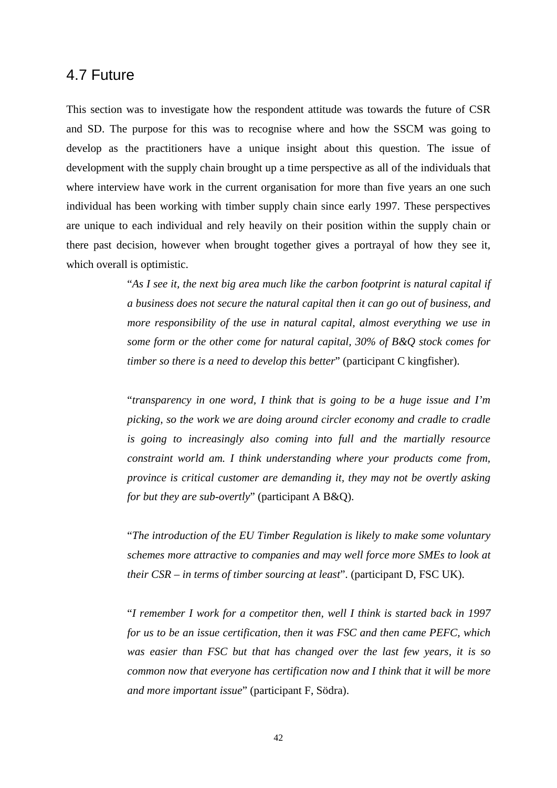#### <span id="page-49-0"></span>4.7 Future

This section was to investigate how the respondent attitude was towards the future of CSR and SD. The purpose for this was to recognise where and how the SSCM was going to develop as the practitioners have a unique insight about this question. The issue of development with the supply chain brought up a time perspective as all of the individuals that where interview have work in the current organisation for more than five years an one such individual has been working with timber supply chain since early 1997. These perspectives are unique to each individual and rely heavily on their position within the supply chain or there past decision, however when brought together gives a portrayal of how they see it, which overall is optimistic.

> "*As I see it, the next big area much like the carbon footprint is natural capital if a business does not secure the natural capital then it can go out of business, and more responsibility of the use in natural capital, almost everything we use in some form or the other come for natural capital, 30% of B&Q stock comes for timber so there is a need to develop this better*" (participant C kingfisher).

> "*transparency in one word, I think that is going to be a huge issue and I'm picking, so the work we are doing around circler economy and cradle to cradle is going to increasingly also coming into full and the martially resource constraint world am. I think understanding where your products come from, province is critical customer are demanding it, they may not be overtly asking for but they are sub-overtly*" (participant A B&Q).

> "*The introduction of the EU Timber Regulation is likely to make some voluntary schemes more attractive to companies and may well force more SMEs to look at their CSR – in terms of timber sourcing at least*". (participant D, FSC UK).

> "*I remember I work for a competitor then, well I think is started back in 1997 for us to be an issue certification, then it was FSC and then came PEFC, which was easier than FSC but that has changed over the last few years, it is so common now that everyone has certification now and I think that it will be more and more important issue*" (participant F, Södra).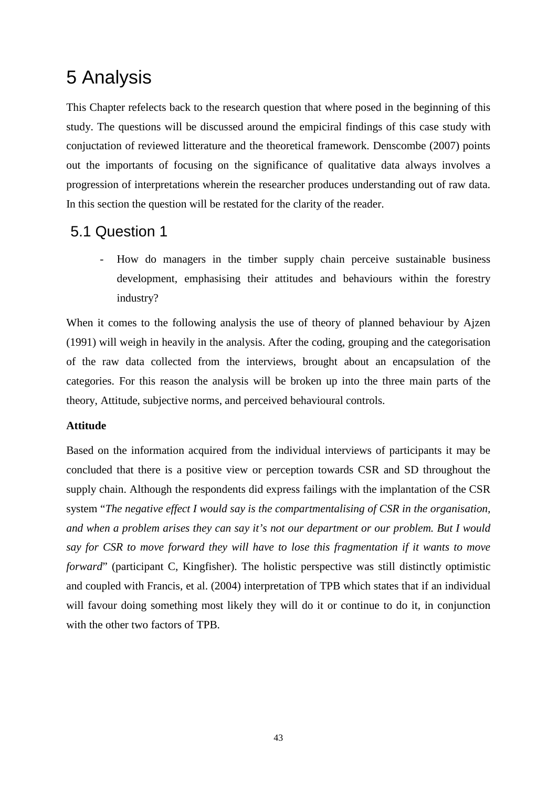# <span id="page-50-0"></span>5 Analysis

This Chapter refelects back to the research question that where posed in the beginning of this study. The questions will be discussed around the empiciral findings of this case study with conjuctation of reviewed litterature and the theoretical framework. Denscombe (2007) points out the importants of focusing on the significance of qualitative data always involves a progression of interpretations wherein the researcher produces understanding out of raw data. In this section the question will be restated for the clarity of the reader.

## <span id="page-50-1"></span>5.1 Question 1

- How do managers in the timber supply chain perceive sustainable business development, emphasising their attitudes and behaviours within the forestry industry?

When it comes to the following analysis the use of theory of planned behaviour by Ajzen (1991) will weigh in heavily in the analysis. After the coding, grouping and the categorisation of the raw data collected from the interviews, brought about an encapsulation of the categories. For this reason the analysis will be broken up into the three main parts of the theory, Attitude, subjective norms, and perceived behavioural controls.

#### **Attitude**

Based on the information acquired from the individual interviews of participants it may be concluded that there is a positive view or perception towards CSR and SD throughout the supply chain. Although the respondents did express failings with the implantation of the CSR system "*The negative effect I would say is the compartmentalising of CSR in the organisation, and when a problem arises they can say it's not our department or our problem. But I would say for CSR to move forward they will have to lose this fragmentation if it wants to move forward*" (participant C, Kingfisher). The holistic perspective was still distinctly optimistic and coupled with Francis, et al. (2004) interpretation of TPB which states that if an individual will favour doing something most likely they will do it or continue to do it, in conjunction with the other two factors of TPB.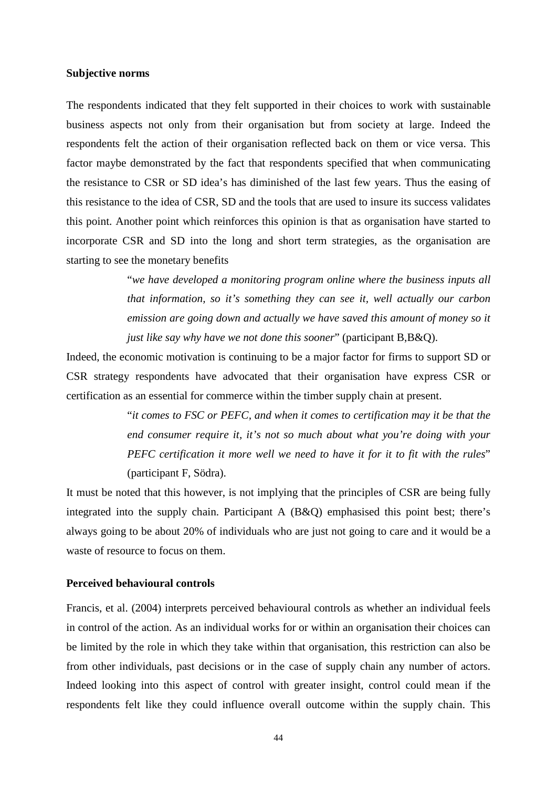#### **Subjective norms**

The respondents indicated that they felt supported in their choices to work with sustainable business aspects not only from their organisation but from society at large. Indeed the respondents felt the action of their organisation reflected back on them or vice versa. This factor maybe demonstrated by the fact that respondents specified that when communicating the resistance to CSR or SD idea's has diminished of the last few years. Thus the easing of this resistance to the idea of CSR, SD and the tools that are used to insure its success validates this point. Another point which reinforces this opinion is that as organisation have started to incorporate CSR and SD into the long and short term strategies, as the organisation are starting to see the monetary benefits

> "*we have developed a monitoring program online where the business inputs all that information, so it's something they can see it, well actually our carbon emission are going down and actually we have saved this amount of money so it just like say why have we not done this sooner*" (participant B,B&Q).

Indeed, the economic motivation is continuing to be a major factor for firms to support SD or CSR strategy respondents have advocated that their organisation have express CSR or certification as an essential for commerce within the timber supply chain at present.

> "*it comes to FSC or PEFC, and when it comes to certification may it be that the end consumer require it, it's not so much about what you're doing with your PEFC certification it more well we need to have it for it to fit with the rules*" (participant F, Södra).

It must be noted that this however, is not implying that the principles of CSR are being fully integrated into the supply chain. Participant A (B&Q) emphasised this point best; there's always going to be about 20% of individuals who are just not going to care and it would be a waste of resource to focus on them.

#### **Perceived behavioural controls**

Francis, et al. (2004) interprets perceived behavioural controls as whether an individual feels in control of the action. As an individual works for or within an organisation their choices can be limited by the role in which they take within that organisation, this restriction can also be from other individuals, past decisions or in the case of supply chain any number of actors. Indeed looking into this aspect of control with greater insight, control could mean if the respondents felt like they could influence overall outcome within the supply chain. This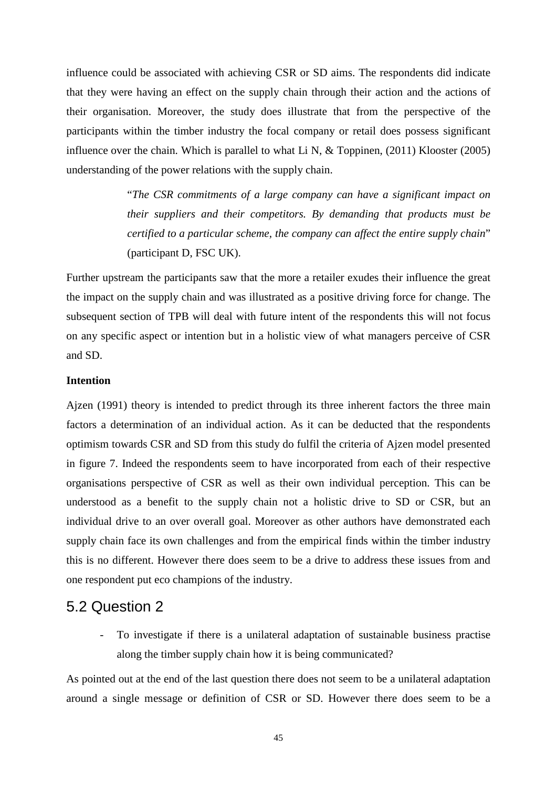influence could be associated with achieving CSR or SD aims. The respondents did indicate that they were having an effect on the supply chain through their action and the actions of their organisation. Moreover, the study does illustrate that from the perspective of the participants within the timber industry the focal company or retail does possess significant influence over the chain. Which is parallel to what Li N, & Toppinen, (2011) Klooster (2005) understanding of the power relations with the supply chain.

> "*The CSR commitments of a large company can have a significant impact on their suppliers and their competitors. By demanding that products must be certified to a particular scheme, the company can affect the entire supply chain*" (participant D, FSC UK).

Further upstream the participants saw that the more a retailer exudes their influence the great the impact on the supply chain and was illustrated as a positive driving force for change. The subsequent section of TPB will deal with future intent of the respondents this will not focus on any specific aspect or intention but in a holistic view of what managers perceive of CSR and SD.

#### **Intention**

Ajzen (1991) theory is intended to predict through its three inherent factors the three main factors a determination of an individual action. As it can be deducted that the respondents optimism towards CSR and SD from this study do fulfil the criteria of Ajzen model presented in figure 7. Indeed the respondents seem to have incorporated from each of their respective organisations perspective of CSR as well as their own individual perception. This can be understood as a benefit to the supply chain not a holistic drive to SD or CSR, but an individual drive to an over overall goal. Moreover as other authors have demonstrated each supply chain face its own challenges and from the empirical finds within the timber industry this is no different. However there does seem to be a drive to address these issues from and one respondent put eco champions of the industry.

#### <span id="page-52-0"></span>5.2 Question 2

- To investigate if there is a unilateral adaptation of sustainable business practise along the timber supply chain how it is being communicated?

As pointed out at the end of the last question there does not seem to be a unilateral adaptation around a single message or definition of CSR or SD. However there does seem to be a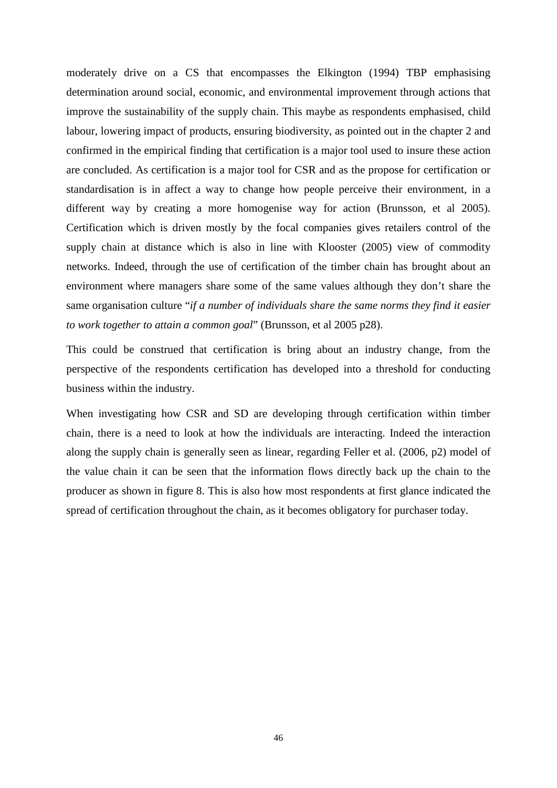moderately drive on a CS that encompasses the Elkington (1994) TBP emphasising determination around social, economic, and environmental improvement through actions that improve the sustainability of the supply chain. This maybe as respondents emphasised, child labour, lowering impact of products, ensuring biodiversity, as pointed out in the chapter 2 and confirmed in the empirical finding that certification is a major tool used to insure these action are concluded. As certification is a major tool for CSR and as the propose for certification or standardisation is in affect a way to change how people perceive their environment, in a different way by creating a more homogenise way for action (Brunsson, et al 2005). Certification which is driven mostly by the focal companies gives retailers control of the supply chain at distance which is also in line with Klooster (2005) view of commodity networks. Indeed, through the use of certification of the timber chain has brought about an environment where managers share some of the same values although they don't share the same organisation culture "*if a number of individuals share the same norms they find it easier to work together to attain a common goal*" (Brunsson, et al 2005 p28).

This could be construed that certification is bring about an industry change, from the perspective of the respondents certification has developed into a threshold for conducting business within the industry.

When investigating how CSR and SD are developing through certification within timber chain, there is a need to look at how the individuals are interacting. Indeed the interaction along the supply chain is generally seen as linear, regarding Feller et al. (2006, p2) model of the value chain it can be seen that the information flows directly back up the chain to the producer as shown in figure 8. This is also how most respondents at first glance indicated the spread of certification throughout the chain, as it becomes obligatory for purchaser today.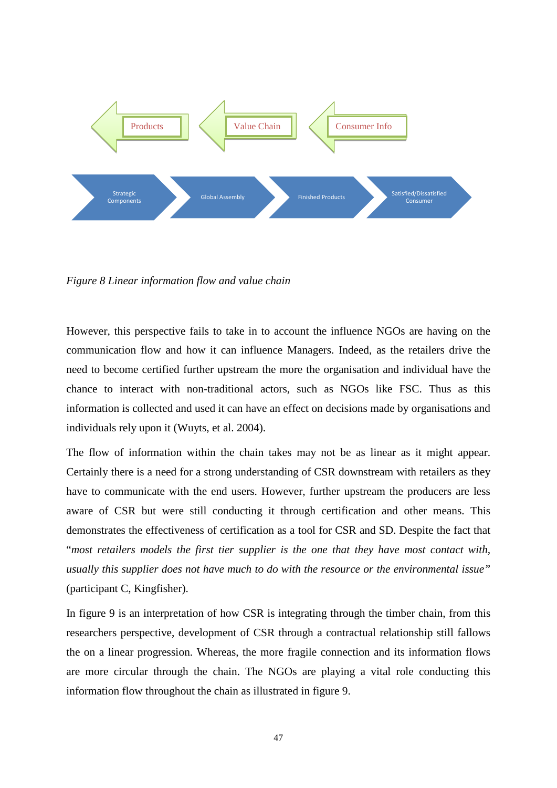

*Figure 8 Linear information flow and value chain* 

However, this perspective fails to take in to account the influence NGOs are having on the communication flow and how it can influence Managers. Indeed, as the retailers drive the need to become certified further upstream the more the organisation and individual have the chance to interact with non-traditional actors, such as NGOs like FSC. Thus as this information is collected and used it can have an effect on decisions made by organisations and individuals rely upon it (Wuyts, et al. 2004).

The flow of information within the chain takes may not be as linear as it might appear. Certainly there is a need for a strong understanding of CSR downstream with retailers as they have to communicate with the end users. However, further upstream the producers are less aware of CSR but were still conducting it through certification and other means. This demonstrates the effectiveness of certification as a tool for CSR and SD. Despite the fact that "*most retailers models the first tier supplier is the one that they have most contact with, usually this supplier does not have much to do with the resource or the environmental issue"*  (participant C, Kingfisher).

In figure 9 is an interpretation of how CSR is integrating through the timber chain, from this researchers perspective, development of CSR through a contractual relationship still fallows the on a linear progression. Whereas, the more fragile connection and its information flows are more circular through the chain. The NGOs are playing a vital role conducting this information flow throughout the chain as illustrated in figure 9.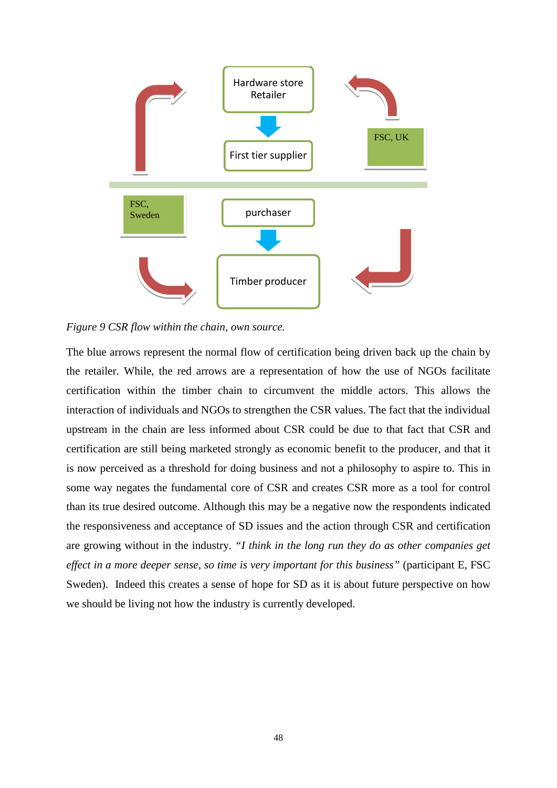

*Figure 9 CSR flow within the chain, own source.*

The blue arrows represent the normal flow of certification being driven back up the chain by the retailer. While, the red arrows are a representation of how the use of NGOs facilitate certification within the timber chain to circumvent the middle actors. This allows the interaction of individuals and NGOs to strengthen the CSR values. The fact that the individual upstream in the chain are less informed about CSR could be due to that fact that CSR and certification are still being marketed strongly as economic benefit to the producer, and that it is now perceived as a threshold for doing business and not a philosophy to aspire to. This in some way negates the fundamental core of CSR and creates CSR more as a tool for control than its true desired outcome. Although this may be a negative now the respondents indicated the responsiveness and acceptance of SD issues and the action through CSR and certification are growing without in the industry. *"I think in the long run they do as other companies get effect in a more deeper sense, so time is very important for this business"* (participant E, FSC Sweden). Indeed this creates a sense of hope for SD as it is about future perspective on how we should be living not how the industry is currently developed.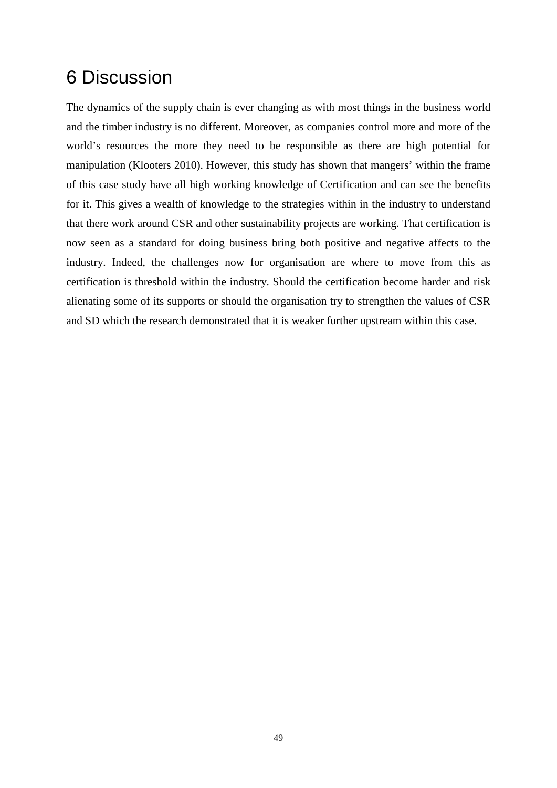## <span id="page-56-0"></span>6 Discussion

The dynamics of the supply chain is ever changing as with most things in the business world and the timber industry is no different. Moreover, as companies control more and more of the world's resources the more they need to be responsible as there are high potential for manipulation (Klooters 2010). However, this study has shown that mangers' within the frame of this case study have all high working knowledge of Certification and can see the benefits for it. This gives a wealth of knowledge to the strategies within in the industry to understand that there work around CSR and other sustainability projects are working. That certification is now seen as a standard for doing business bring both positive and negative affects to the industry. Indeed, the challenges now for organisation are where to move from this as certification is threshold within the industry. Should the certification become harder and risk alienating some of its supports or should the organisation try to strengthen the values of CSR and SD which the research demonstrated that it is weaker further upstream within this case.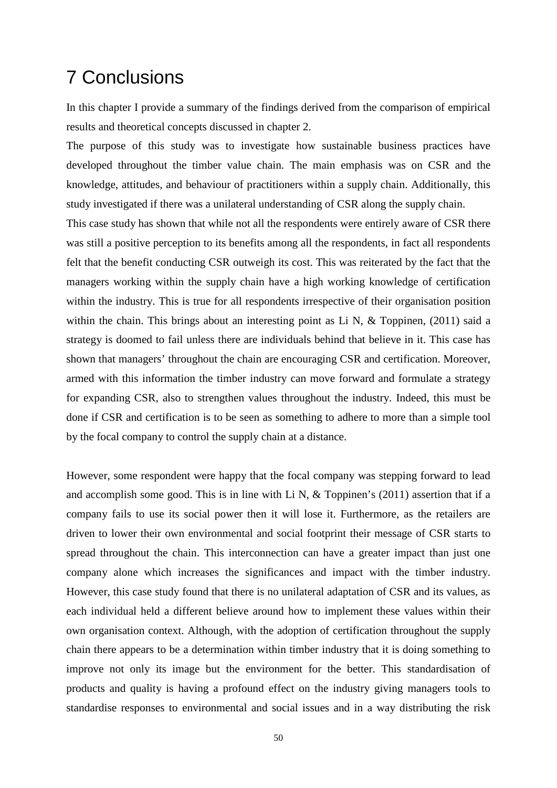## <span id="page-57-0"></span>7 Conclusions

In this chapter I provide a summary of the findings derived from the comparison of empirical results and theoretical concepts discussed in chapter 2.

The purpose of this study was to investigate how sustainable business practices have developed throughout the timber value chain. The main emphasis was on CSR and the knowledge, attitudes, and behaviour of practitioners within a supply chain. Additionally, this study investigated if there was a unilateral understanding of CSR along the supply chain.

This case study has shown that while not all the respondents were entirely aware of CSR there was still a positive perception to its benefits among all the respondents, in fact all respondents felt that the benefit conducting CSR outweigh its cost. This was reiterated by the fact that the managers working within the supply chain have a high working knowledge of certification within the industry. This is true for all respondents irrespective of their organisation position within the chain. This brings about an interesting point as Li N, & Toppinen, (2011) said a strategy is doomed to fail unless there are individuals behind that believe in it. This case has shown that managers' throughout the chain are encouraging CSR and certification. Moreover, armed with this information the timber industry can move forward and formulate a strategy for expanding CSR, also to strengthen values throughout the industry. Indeed, this must be done if CSR and certification is to be seen as something to adhere to more than a simple tool by the focal company to control the supply chain at a distance.

However, some respondent were happy that the focal company was stepping forward to lead and accomplish some good. This is in line with Li N, & Toppinen's (2011) assertion that if a company fails to use its social power then it will lose it. Furthermore, as the retailers are driven to lower their own environmental and social footprint their message of CSR starts to spread throughout the chain. This interconnection can have a greater impact than just one company alone which increases the significances and impact with the timber industry. However, this case study found that there is no unilateral adaptation of CSR and its values, as each individual held a different believe around how to implement these values within their own organisation context. Although, with the adoption of certification throughout the supply chain there appears to be a determination within timber industry that it is doing something to improve not only its image but the environment for the better. This standardisation of products and quality is having a profound effect on the industry giving managers tools to standardise responses to environmental and social issues and in a way distributing the risk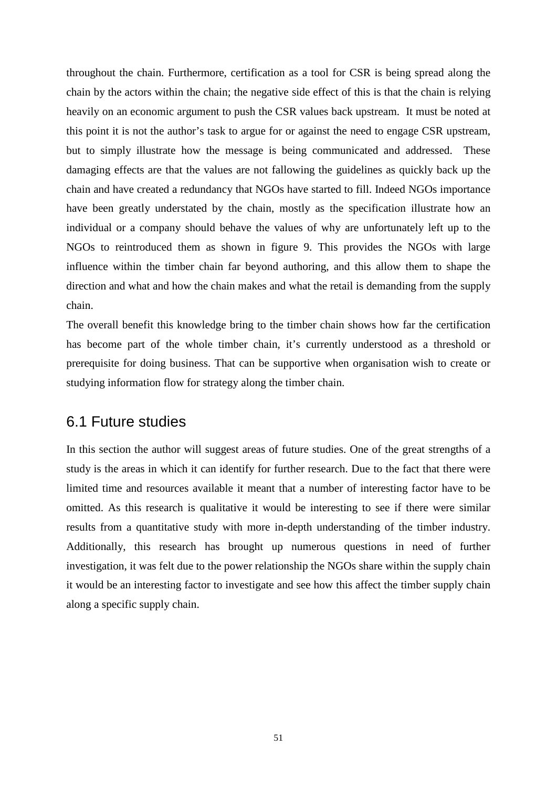throughout the chain. Furthermore, certification as a tool for CSR is being spread along the chain by the actors within the chain; the negative side effect of this is that the chain is relying heavily on an economic argument to push the CSR values back upstream. It must be noted at this point it is not the author's task to argue for or against the need to engage CSR upstream, but to simply illustrate how the message is being communicated and addressed. These damaging effects are that the values are not fallowing the guidelines as quickly back up the chain and have created a redundancy that NGOs have started to fill. Indeed NGOs importance have been greatly understated by the chain, mostly as the specification illustrate how an individual or a company should behave the values of why are unfortunately left up to the NGOs to reintroduced them as shown in figure 9. This provides the NGOs with large influence within the timber chain far beyond authoring, and this allow them to shape the direction and what and how the chain makes and what the retail is demanding from the supply chain.

The overall benefit this knowledge bring to the timber chain shows how far the certification has become part of the whole timber chain, it's currently understood as a threshold or prerequisite for doing business. That can be supportive when organisation wish to create or studying information flow for strategy along the timber chain.

### <span id="page-58-0"></span>6.1 Future studies

In this section the author will suggest areas of future studies. One of the great strengths of a study is the areas in which it can identify for further research. Due to the fact that there were limited time and resources available it meant that a number of interesting factor have to be omitted. As this research is qualitative it would be interesting to see if there were similar results from a quantitative study with more in-depth understanding of the timber industry. Additionally, this research has brought up numerous questions in need of further investigation, it was felt due to the power relationship the NGOs share within the supply chain it would be an interesting factor to investigate and see how this affect the timber supply chain along a specific supply chain.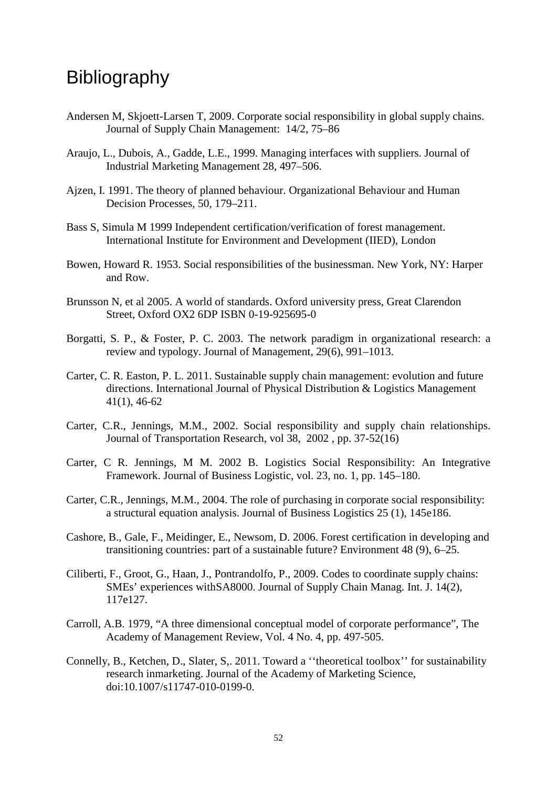## <span id="page-59-0"></span>**Bibliography**

- Andersen M, Skjoett-Larsen T, 2009. Corporate social responsibility in global supply chains. Journal of Supply Chain Management: 14/2, 75–86
- Araujo, L., Dubois, A., Gadde, L.E., 1999. Managing interfaces with suppliers. Journal of Industrial Marketing Management 28, 497–506.
- Ajzen, I. 1991. The theory of planned behaviour. Organizational Behaviour and Human Decision Processes, 50, 179–211.
- Bass S, Simula M 1999 Independent certification/verification of forest management. International Institute for Environment and Development (IIED), London
- Bowen, Howard R. 1953. Social responsibilities of the businessman. New York, NY: Harper and Row.
- Brunsson N, et al 2005. A world of standards. Oxford university press, Great Clarendon Street, Oxford OX2 6DP ISBN 0-19-925695-0
- Borgatti, S. P., & Foster, P. C. 2003. The network paradigm in organizational research: a review and typology. Journal of Management, 29(6), 991–1013.
- Carter, C. R. Easton, P. L. 2011. Sustainable supply chain management: evolution and future directions. International Journal of Physical Distribution & Logistics Management 41(1), 46-62
- Carter, C.R., Jennings, M.M., 2002. Social responsibility and supply chain relationships. Journal of Transportation Research, vol 38, 2002 , pp. 37-52(16)
- Carter, C R. Jennings, M M. 2002 B. Logistics Social Responsibility: An Integrative Framework. Journal of Business Logistic, vol. 23, no. 1, pp. 145–180.
- Carter, C.R., Jennings, M.M., 2004. The role of purchasing in corporate social responsibility: a structural equation analysis. Journal of Business Logistics 25 (1), 145e186.
- Cashore, B., Gale, F., Meidinger, E., Newsom, D. 2006. Forest certification in developing and transitioning countries: part of a sustainable future? Environment 48 (9), 6–25.
- Ciliberti, F., Groot, G., Haan, J., Pontrandolfo, P., 2009. Codes to coordinate supply chains: SMEs' experiences withSA8000. Journal of Supply Chain Manag. Int. J. 14(2), 117e127.
- Carroll, A.B. 1979, "A three dimensional conceptual model of corporate performance", The Academy of Management Review, Vol. 4 No. 4, pp. 497-505.
- Connelly, B., Ketchen, D., Slater, S,. 2011. Toward a ''theoretical toolbox'' for sustainability research inmarketing. Journal of the Academy of Marketing Science, doi:10.1007/s11747-010-0199-0.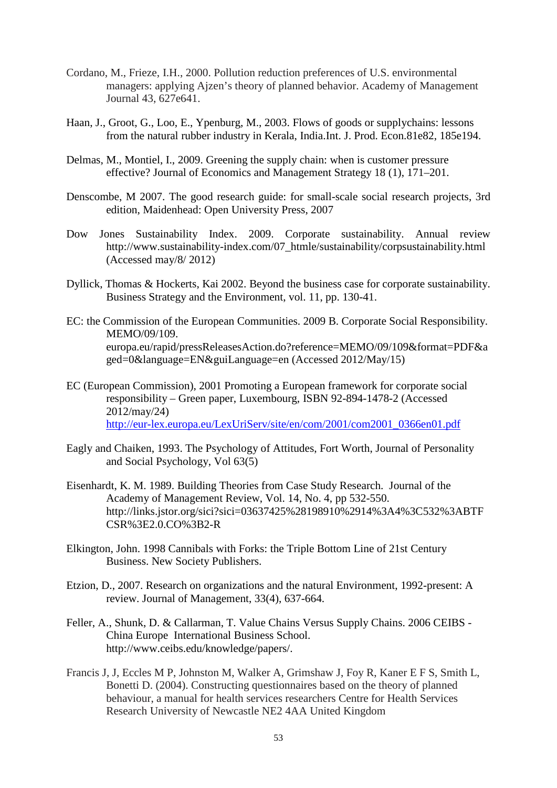- Cordano, M., Frieze, I.H., 2000. Pollution reduction preferences of U.S. environmental managers: applying Ajzen's theory of planned behavior. Academy of Management Journal 43, 627e641.
- Haan, J., Groot, G., Loo, E., Ypenburg, M., 2003. Flows of goods or supplychains: lessons from the natural rubber industry in Kerala, India.Int. J. Prod. Econ.81e82, 185e194.
- Delmas, M., Montiel, I., 2009. Greening the supply chain: when is customer pressure effective? Journal of Economics and Management Strategy 18 (1), 171–201.
- Denscombe, M 2007. The good research guide: for small-scale social research projects, 3rd edition, Maidenhead: Open University Press, 2007
- Dow Jones Sustainability Index. 2009. Corporate sustainability. Annual review http://www.sustainability-index.com/07\_htmle/sustainability/corpsustainability.html (Accessed may/8/ 2012)
- Dyllick, Thomas & Hockerts, Kai 2002. Beyond the business case for corporate sustainability. Business Strategy and the Environment, vol. 11, pp. 130-41.
- EC: the Commission of the European Communities. 2009 B. Corporate Social Responsibility. MEMO/09/109. europa.eu/rapid/pressReleasesAction.do?reference=MEMO/09/109&format=PDF&a ged=0&language=EN&guiLanguage=en (Accessed 2012/May/15)
- EC (European Commission), 2001 Promoting a European framework for corporate social responsibility – Green paper, Luxembourg, ISBN 92-894-1478-2 (Accessed 2012/may/24) [http://eur-lex.europa.eu/LexUriServ/site/en/com/2001/com2001\\_0366en01.pdf](http://eur-lex.europa.eu/LexUriServ/site/en/com/2001/com2001_0366en01.pdf)
- Eagly and Chaiken, 1993. The Psychology of Attitudes, Fort Worth, Journal of Personality and Social Psychology, Vol 63(5)
- Eisenhardt, K. M. 1989. Building Theories from Case Study Research. Journal of the Academy of Management Review, Vol. 14, No. 4, pp 532-550. http://links.jstor.org/sici?sici=03637425%28198910%2914%3A4%3C532%3ABTF CSR%3E2.0.CO%3B2-R
- Elkington, John. 1998 Cannibals with Forks: the Triple Bottom Line of 21st Century Business. New Society Publishers.
- Etzion, D., 2007. Research on organizations and the natural Environment, 1992-present: A review. Journal of Management, 33(4), 637-664.
- Feller, A., Shunk, D. & Callarman, T. Value Chains Versus Supply Chains. 2006 CEIBS China Europe International Business School. [http://www.ceibs.edu/knowledge/papers/.](http://www.ceibs.edu/knowledge/papers/)
- Francis J, J, Eccles M P, Johnston M, Walker A, Grimshaw J, Foy R, Kaner E F S, Smith L, Bonetti D. (2004). Constructing questionnaires based on the theory of planned behaviour, a manual for health services researchers Centre for Health Services Research University of Newcastle NE2 4AA United Kingdom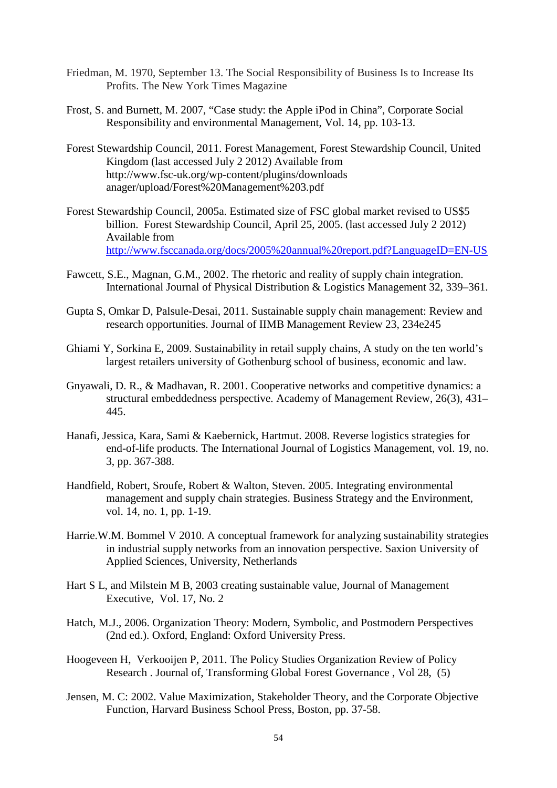- Friedman, M. 1970, September 13. The Social Responsibility of Business Is to Increase Its Profits. The New York Times Magazine
- Frost, S. and Burnett, M. 2007, "Case study: the Apple iPod in China", Corporate Social Responsibility and environmental Management, Vol. 14, pp. 103-13.
- Forest Stewardship Council, 2011. Forest Management, Forest Stewardship Council, United Kingdom (last accessed July 2 2012) Available from http://www.fsc-uk.org/wp-content/plugins/downloads anager/upload/Forest%20Management%203.pdf
- Forest Stewardship Council, 2005a. Estimated size of FSC global market revised to US\$5 billion. Forest Stewardship Council, April 25, 2005. (last accessed July 2 2012) Available from <http://www.fsccanada.org/docs/2005%20annual%20report.pdf?LanguageID=EN-US>
- Fawcett, S.E., Magnan, G.M., 2002. The rhetoric and reality of supply chain integration. International Journal of Physical Distribution & Logistics Management 32, 339–361.
- Gupta S, Omkar D, Palsule-Desai, 2011. Sustainable supply chain management: Review and research opportunities. Journal of IIMB Management Review 23, 234e245
- Ghiami Y, Sorkina E, 2009. Sustainability in retail supply chains, A study on the ten world's largest retailers university of Gothenburg school of business, economic and law.
- Gnyawali, D. R., & Madhavan, R. 2001. Cooperative networks and competitive dynamics: a structural embeddedness perspective. Academy of Management Review, 26(3), 431– 445.
- Hanafi, Jessica, Kara, Sami & Kaebernick, Hartmut. 2008. Reverse logistics strategies for end-of-life products. The International Journal of Logistics Management, vol. 19, no. 3, pp. 367-388.
- Handfield, Robert, Sroufe, Robert & Walton, Steven. 2005. Integrating environmental management and supply chain strategies. Business Strategy and the Environment, vol. 14, no. 1, pp. 1-19.
- Harrie.W.M. Bommel V 2010. A conceptual framework for analyzing sustainability strategies in industrial supply networks from an innovation perspective. Saxion University of Applied Sciences, University, Netherlands
- Hart S L, and Milstein M B, 2003 creating sustainable value, Journal of Management Executive, Vol. 17, No. 2
- Hatch, M.J., 2006. Organization Theory: Modern, Symbolic, and Postmodern Perspectives (2nd ed.). Oxford, England: Oxford University Press.
- Hoogeveen H, Verkooijen P, 2011. The Policy Studies Organization Review of Policy Research . Journal of, Transforming Global Forest Governance , Vol 28, (5)
- Jensen, M. C: 2002. Value Maximization, Stakeholder Theory, and the Corporate Objective Function, Harvard Business School Press, Boston, pp. 37-58.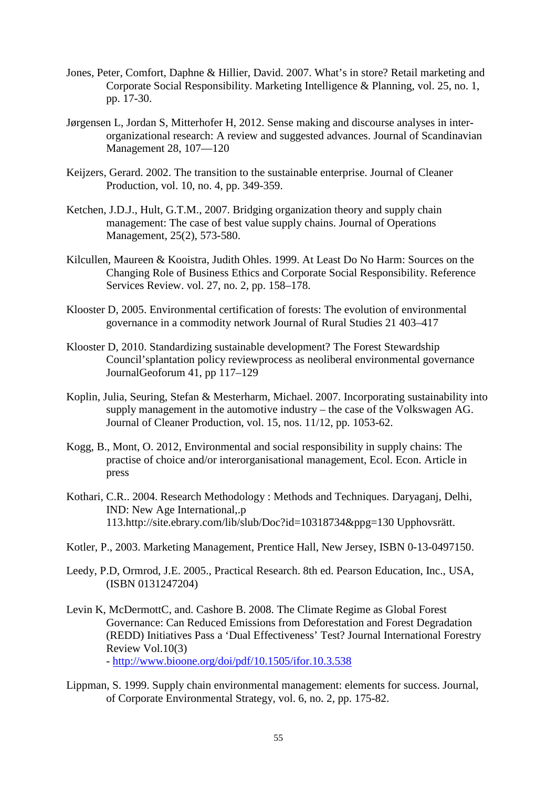- Jones, Peter, Comfort, Daphne & Hillier, David. 2007. What's in store? Retail marketing and Corporate Social Responsibility. Marketing Intelligence & Planning, vol. 25, no. 1, pp. 17-30.
- Jørgensen L, Jordan S, Mitterhofer H, 2012. Sense making and discourse analyses in interorganizational research: A review and suggested advances. Journal of Scandinavian Management 28, 107—120
- Keijzers, Gerard. 2002. The transition to the sustainable enterprise. Journal of Cleaner Production, vol. 10, no. 4, pp. 349-359.
- Ketchen, J.D.J., Hult, G.T.M., 2007. Bridging organization theory and supply chain management: The case of best value supply chains. Journal of Operations Management, 25(2), 573-580.
- Kilcullen, Maureen & Kooistra, Judith Ohles. 1999. At Least Do No Harm: Sources on the Changing Role of Business Ethics and Corporate Social Responsibility. Reference Services Review. vol. 27, no. 2, pp. 158–178.
- Klooster D, 2005. Environmental certification of forests: The evolution of environmental governance in a commodity network Journal of Rural Studies 21 403–417
- Klooster D, 2010. Standardizing sustainable development? The Forest Stewardship Council'splantation policy reviewprocess as neoliberal environmental governance JournalGeoforum 41, pp 117–129
- Koplin, Julia, Seuring, Stefan & Mesterharm, Michael. 2007. Incorporating sustainability into supply management in the automotive industry – the case of the Volkswagen AG. Journal of Cleaner Production, vol. 15, nos. 11/12, pp. 1053-62.
- Kogg, B., Mont, O. 2012, Environmental and social responsibility in supply chains: The practise of choice and/or interorganisational management, Ecol. Econ. Article in press
- Kothari, C.R.. 2004. Research Methodology : Methods and Techniques. Daryaganj, Delhi, IND: New Age International,.p 113.http://site.ebrary.com/lib/slub/Doc?id=10318734&ppg=130 Upphovsrätt.
- Kotler, P., 2003. Marketing Management, Prentice Hall, New Jersey, ISBN 0-13-0497150.
- Leedy, P.D, Ormrod, J.E. 2005., Practical Research. 8th ed. Pearson Education, Inc., USA, (ISBN 0131247204)
- Levin K, McDermottC, and. Cashore B. 2008. The Climate Regime as Global Forest Governance: Can Reduced Emissions from Deforestation and Forest Degradation (REDD) Initiatives Pass a 'Dual Effectiveness' Test? Journal International Forestry Review Vol.10(3) - <http://www.bioone.org/doi/pdf/10.1505/ifor.10.3.538>
- Lippman, S. 1999. Supply chain environmental management: elements for success. Journal, of Corporate Environmental Strategy, vol. 6, no. 2, pp. 175-82.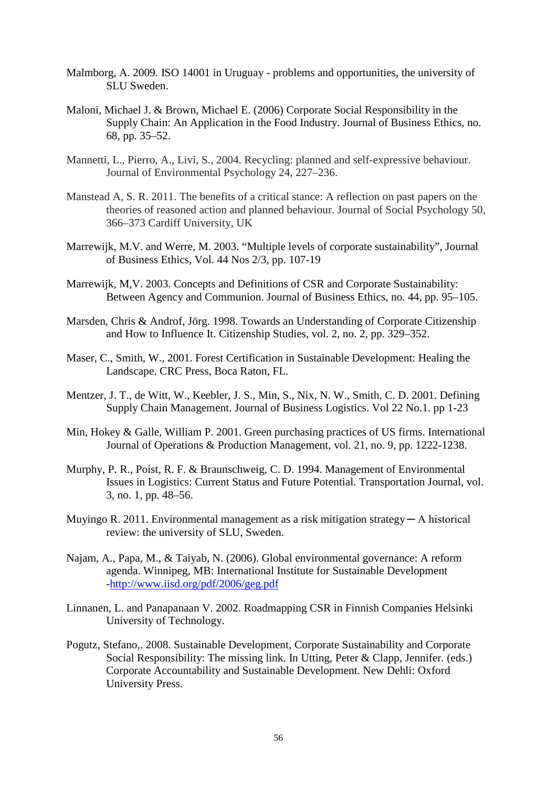- Malmborg, A. 2009. ISO 14001 in Uruguay problems and opportunities, the university of SLU Sweden.
- Maloni, Michael J. & Brown, Michael E. (2006) Corporate Social Responsibility in the Supply Chain: An Application in the Food Industry. Journal of Business Ethics, no. 68, pp. 35–52.
- Mannetti, L., Pierro, A., Livi, S., 2004. Recycling: planned and self-expressive behaviour. Journal of Environmental Psychology 24, 227–236.
- Manstead A, S. R. 2011. The benefits of a critical stance: A reflection on past papers on the theories of reasoned action and planned behaviour. Journal of Social Psychology 50, 366–373 Cardiff University, UK
- Marrewijk, M.V. and Werre, M. 2003. "Multiple levels of corporate sustainability", Journal of Business Ethics, Vol. 44 Nos 2/3, pp. 107-19
- Marrewijk, M,V. 2003. Concepts and Definitions of CSR and Corporate Sustainability: Between Agency and Communion. Journal of Business Ethics, no. 44, pp. 95–105.
- Marsden, Chris & Androf, Jörg. 1998. Towards an Understanding of Corporate Citizenship and How to Influence It. Citizenship Studies, vol. 2, no. 2, pp. 329–352.
- Maser, C., Smith, W., 2001. Forest Certification in Sustainable Development: Healing the Landscape. CRC Press, Boca Raton, FL.
- Mentzer, J. T., de Witt, W., Keebler, J. S., Min, S., Nix, N. W., Smith, C. D. 2001. Defining Supply Chain Management. Journal of Business Logistics. Vol 22 No.1. pp 1-23
- Min, Hokey & Galle, William P. 2001. Green purchasing practices of US firms. International Journal of Operations & Production Management, vol. 21, no. 9, pp. 1222-1238.
- Murphy, P. R., Poist, R. F. & Braunschweig, C. D. 1994. Management of Environmental Issues in Logistics: Current Status and Future Potential. Transportation Journal, vol. 3, no. 1, pp. 48–56.
- Muyingo R. 2011. Environmental management as a risk mitigation strategy ─ A historical review: the university of SLU, Sweden.
- Najam, A., Papa, M., & Taiyab, N. (2006). Global environmental governance: A reform agenda. Winnipeg, MB: International Institute for Sustainable Development [-http://www.iisd.org/pdf/2006/geg.pdf](http://www.iisd.org/pdf/2006/geg.pdf)
- Linnanen, L. and Panapanaan V. 2002. Roadmapping CSR in Finnish Companies Helsinki University of Technology.
- Pogutz, Stefano,. 2008. Sustainable Development, Corporate Sustainability and Corporate Social Responsibility: The missing link. In Utting, Peter & Clapp, Jennifer. (eds.) Corporate Accountability and Sustainable Development. New Dehli: Oxford University Press.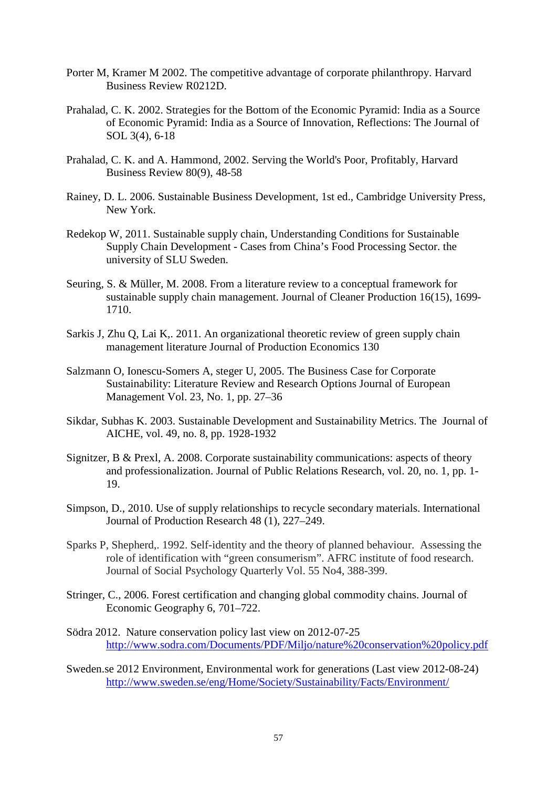- Porter M, Kramer M 2002. The competitive advantage of corporate philanthropy. Harvard Business Review R0212D.
- Prahalad, C. K. 2002. Strategies for the Bottom of the Economic Pyramid: India as a Source of Economic Pyramid: India as a Source of Innovation, Reflections: The Journal of SOL 3(4), 6-18
- Prahalad, C. K. and A. Hammond, 2002. Serving the World's Poor, Profitably, Harvard Business Review 80(9), 48-58
- Rainey, D. L. 2006. Sustainable Business Development, 1st ed., Cambridge University Press, New York.
- Redekop W, 2011. Sustainable supply chain, Understanding Conditions for Sustainable Supply Chain Development - Cases from China's Food Processing Sector. the university of SLU Sweden.
- Seuring, S. & Müller, M. 2008. From a literature review to a conceptual framework for sustainable supply chain management. Journal of Cleaner Production 16(15), 1699- 1710.
- Sarkis J, Zhu Q, Lai K,. 2011. An organizational theoretic review of green supply chain management literature Journal of Production Economics 130
- Salzmann O, Ionescu-Somers A, steger U, 2005. The Business Case for Corporate Sustainability: Literature Review and Research Options Journal of European Management Vol. 23, No. 1, pp. 27–36
- Sikdar, Subhas K. 2003. Sustainable Development and Sustainability Metrics. The Journal of AICHE, vol. 49, no. 8, pp. 1928-1932
- Signitzer, B & Prexl, A. 2008. Corporate sustainability communications: aspects of theory and professionalization. Journal of Public Relations Research, vol. 20, no. 1, pp. 1- 19.
- Simpson, D., 2010. Use of supply relationships to recycle secondary materials. International Journal of Production Research 48 (1), 227–249.
- Sparks P, Shepherd,. 1992. Self-identity and the theory of planned behaviour. Assessing the role of identification with "green consumerism". AFRC institute of food research. Journal of Social Psychology Quarterly Vol. 55 No4, 388-399.
- Stringer, C., 2006. Forest certification and changing global commodity chains. Journal of Economic Geography 6, 701–722.
- Södra 2012. Nature conservation policy last view on 2012-07-25 <http://www.sodra.com/Documents/PDF/Miljo/nature%20conservation%20policy.pdf>
- Sweden.se 2012 Environment, Environmental work for generations (Last view 2012-08-24) <http://www.sweden.se/eng/Home/Society/Sustainability/Facts/Environment/>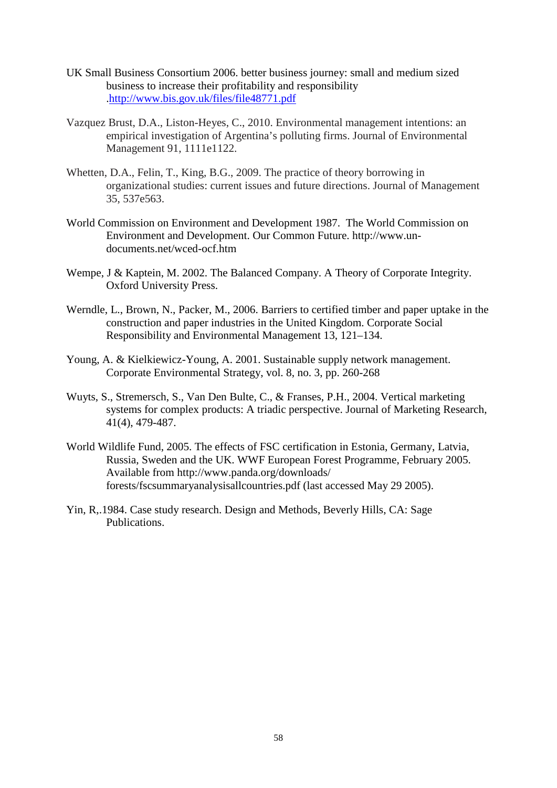- UK Small Business Consortium 2006. better business journey: small and medium sized business to increase their profitability and responsibility [.http://www.bis.gov.uk/files/file48771.pdf](http://www.bis.gov.uk/files/file48771.pdf)
- Vazquez Brust, D.A., Liston-Heyes, C., 2010. Environmental management intentions: an empirical investigation of Argentina's polluting firms. Journal of Environmental Management 91, 1111e1122.
- Whetten, D.A., Felin, T., King, B.G., 2009. The practice of theory borrowing in organizational studies: current issues and future directions. Journal of Management 35, 537e563.
- World Commission on Environment and Development 1987. The World Commission on Environment and Development. Our Common Future. http://www.undocuments.net/wced-ocf.htm
- Wempe, J & Kaptein, M. 2002. The Balanced Company. A Theory of Corporate Integrity. Oxford University Press.
- Werndle, L., Brown, N., Packer, M., 2006. Barriers to certified timber and paper uptake in the construction and paper industries in the United Kingdom. Corporate Social Responsibility and Environmental Management 13, 121–134.
- Young, A. & Kielkiewicz-Young, A. 2001. Sustainable supply network management. Corporate Environmental Strategy, vol. 8, no. 3, pp. 260-268
- Wuyts, S., Stremersch, S., Van Den Bulte, C., & Franses, P.H., 2004. Vertical marketing systems for complex products: A triadic perspective. Journal of Marketing Research, 41(4), 479-487.
- World Wildlife Fund, 2005. The effects of FSC certification in Estonia, Germany, Latvia, Russia, Sweden and the UK. WWF European Forest Programme, February 2005. Available from http://www.panda.org/downloads/ forests/fscsummaryanalysisallcountries.pdf (last accessed May 29 2005).
- Yin, R,.1984. Case study research. Design and Methods, Beverly Hills, CA: Sage Publications.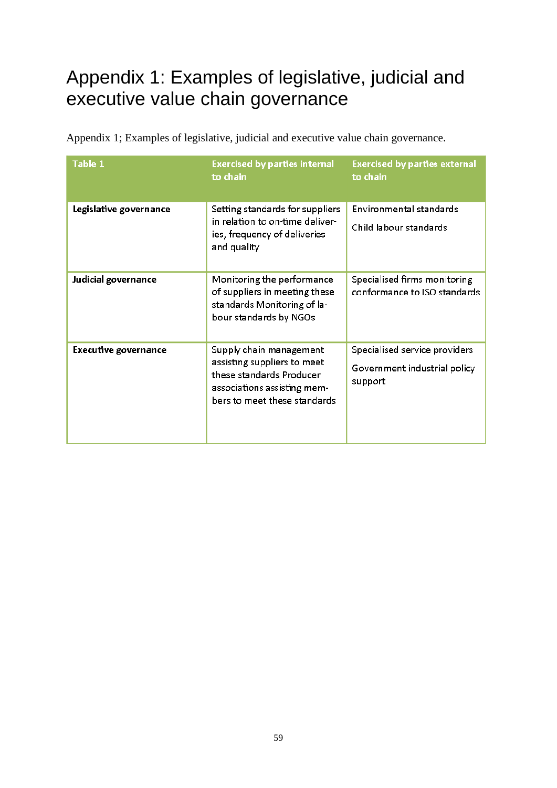# <span id="page-66-0"></span>Appendix 1: Examples of legislative, judicial and executive value chain governance

| Table 1                     | <b>Exercised by parties internal</b><br>to chain                                                                                                  | <b>Exercised by parties external</b><br>to chain                         |
|-----------------------------|---------------------------------------------------------------------------------------------------------------------------------------------------|--------------------------------------------------------------------------|
| Legislative governance      | Setting standards for suppliers<br>in relation to on-time deliver-<br>ies, frequency of deliveries<br>and quality                                 | Environmental standards<br>Child labour standards                        |
| Judicial governance         | Monitoring the performance<br>of suppliers in meeting these<br>standards Monitoring of la-<br>bour standards by NGOs                              | Specialised firms monitoring<br>conformance to ISO standards             |
| <b>Executive governance</b> | Supply chain management<br>assisting suppliers to meet<br>these standards Producer<br>associations assisting mem-<br>bers to meet these standards | Specialised service providers<br>Government industrial policy<br>support |

Appendix 1; Examples of legislative, judicial and executive value chain governance.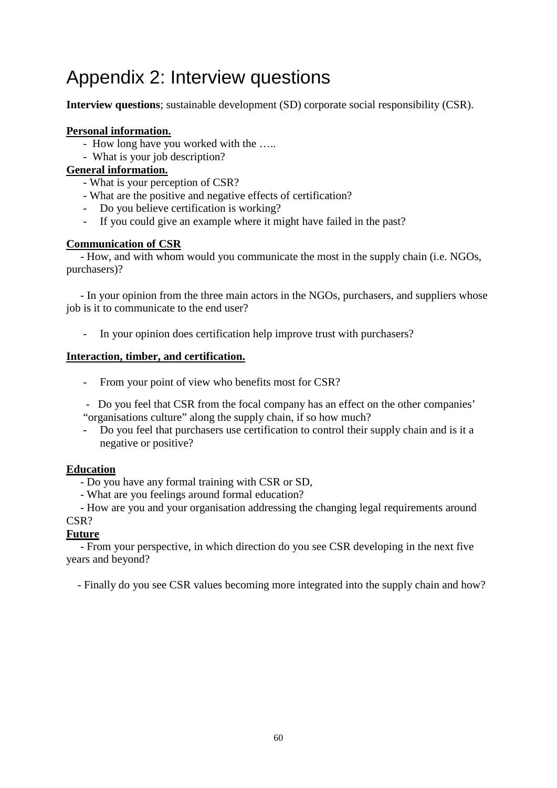# <span id="page-67-0"></span>Appendix 2: Interview questions

**Interview questions**; sustainable development (SD) corporate social responsibility (CSR).

#### **Personal information.**

- How long have you worked with the …..
- What is your job description?

#### **General information.**

- What is your perception of CSR?
- What are the positive and negative effects of certification?
- Do you believe certification is working?
- If you could give an example where it might have failed in the past?

#### **Communication of CSR**

 - How, and with whom would you communicate the most in the supply chain (i.e. NGOs, purchasers)?

 - In your opinion from the three main actors in the NGOs, purchasers, and suppliers whose job is it to communicate to the end user?

In your opinion does certification help improve trust with purchasers?

#### **Interaction, timber, and certification.**

- From your point of view who benefits most for CSR?
- Do you feel that CSR from the focal company has an effect on the other companies' "organisations culture" along the supply chain, if so how much?
- Do you feel that purchasers use certification to control their supply chain and is it a negative or positive?

#### **Education**

- Do you have any formal training with CSR or SD,
- What are you feelings around formal education?

 - How are you and your organisation addressing the changing legal requirements around CSR?

#### **Future**

 - From your perspective, in which direction do you see CSR developing in the next five years and beyond?

- Finally do you see CSR values becoming more integrated into the supply chain and how?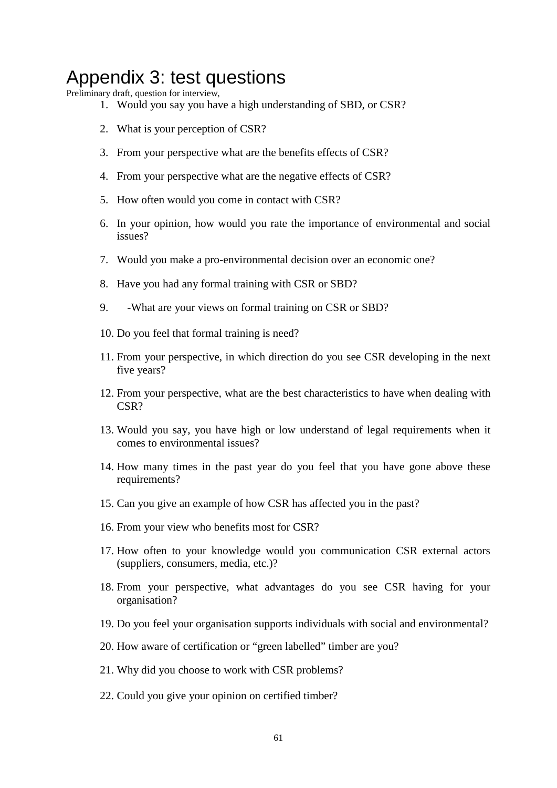## <span id="page-68-0"></span>Appendix 3: test questions

Preliminary draft, question for interview,

- 1. Would you say you have a high understanding of SBD, or CSR?
- 2. What is your perception of CSR?
- 3. From your perspective what are the benefits effects of CSR?
- 4. From your perspective what are the negative effects of CSR?
- 5. How often would you come in contact with CSR?
- 6. In your opinion, how would you rate the importance of environmental and social issues?
- 7. Would you make a pro-environmental decision over an economic one?
- 8. Have you had any formal training with CSR or SBD?
- 9. -What are your views on formal training on CSR or SBD?
- 10. Do you feel that formal training is need?
- 11. From your perspective, in which direction do you see CSR developing in the next five years?
- 12. From your perspective, what are the best characteristics to have when dealing with CSR?
- 13. Would you say, you have high or low understand of legal requirements when it comes to environmental issues?
- 14. How many times in the past year do you feel that you have gone above these requirements?
- 15. Can you give an example of how CSR has affected you in the past?
- 16. From your view who benefits most for CSR?
- 17. How often to your knowledge would you communication CSR external actors (suppliers, consumers, media, etc.)?
- 18. From your perspective, what advantages do you see CSR having for your organisation?
- 19. Do you feel your organisation supports individuals with social and environmental?
- 20. How aware of certification or "green labelled" timber are you?
- 21. Why did you choose to work with CSR problems?
- 22. Could you give your opinion on certified timber?